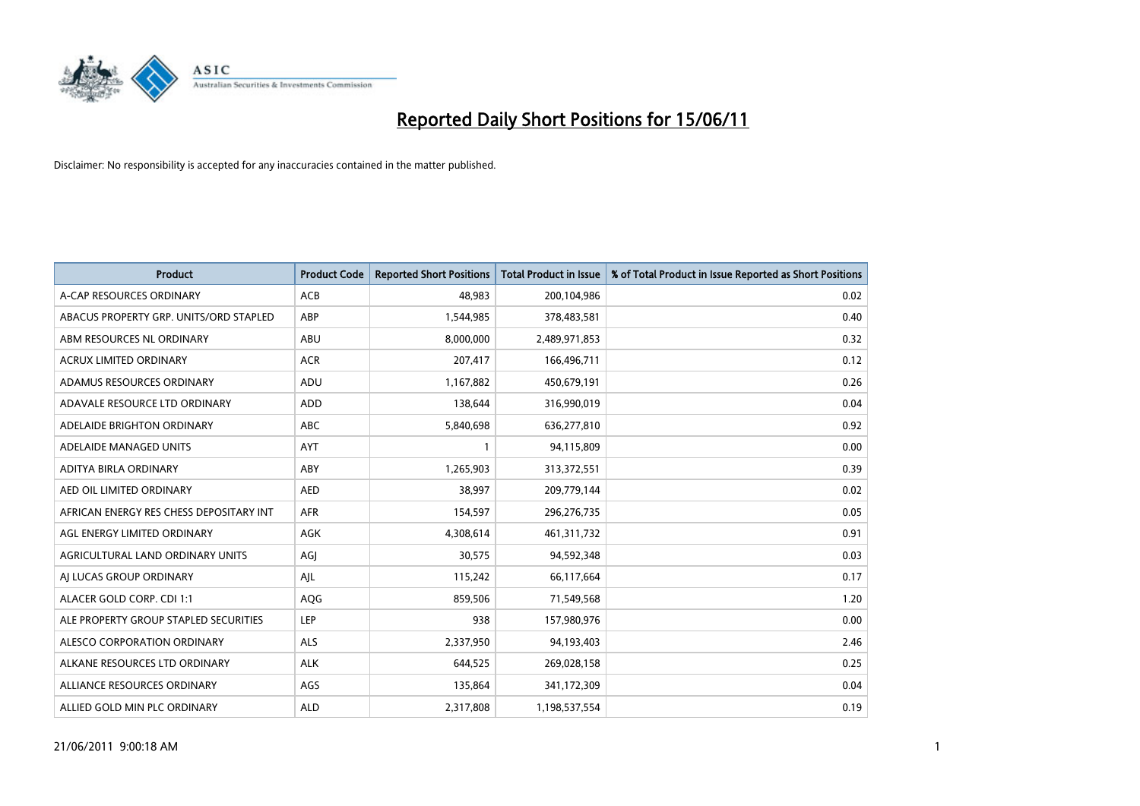

| <b>Product</b>                          | <b>Product Code</b> | <b>Reported Short Positions</b> | <b>Total Product in Issue</b> | % of Total Product in Issue Reported as Short Positions |
|-----------------------------------------|---------------------|---------------------------------|-------------------------------|---------------------------------------------------------|
| A-CAP RESOURCES ORDINARY                | ACB                 | 48,983                          | 200,104,986                   | 0.02                                                    |
| ABACUS PROPERTY GRP. UNITS/ORD STAPLED  | ABP                 | 1,544,985                       | 378,483,581                   | 0.40                                                    |
| ABM RESOURCES NL ORDINARY               | ABU                 | 8,000,000                       | 2,489,971,853                 | 0.32                                                    |
| ACRUX LIMITED ORDINARY                  | <b>ACR</b>          | 207,417                         | 166,496,711                   | 0.12                                                    |
| ADAMUS RESOURCES ORDINARY               | ADU                 | 1,167,882                       | 450,679,191                   | 0.26                                                    |
| ADAVALE RESOURCE LTD ORDINARY           | ADD                 | 138,644                         | 316,990,019                   | 0.04                                                    |
| ADELAIDE BRIGHTON ORDINARY              | <b>ABC</b>          | 5,840,698                       | 636,277,810                   | 0.92                                                    |
| ADELAIDE MANAGED UNITS                  | <b>AYT</b>          |                                 | 94,115,809                    | 0.00                                                    |
| ADITYA BIRLA ORDINARY                   | ABY                 | 1,265,903                       | 313,372,551                   | 0.39                                                    |
| AED OIL LIMITED ORDINARY                | <b>AED</b>          | 38.997                          | 209,779,144                   | 0.02                                                    |
| AFRICAN ENERGY RES CHESS DEPOSITARY INT | <b>AFR</b>          | 154,597                         | 296,276,735                   | 0.05                                                    |
| AGL ENERGY LIMITED ORDINARY             | <b>AGK</b>          | 4,308,614                       | 461,311,732                   | 0.91                                                    |
| AGRICULTURAL LAND ORDINARY UNITS        | AGJ                 | 30.575                          | 94,592,348                    | 0.03                                                    |
| AI LUCAS GROUP ORDINARY                 | AJL                 | 115,242                         | 66,117,664                    | 0.17                                                    |
| ALACER GOLD CORP. CDI 1:1               | AQG                 | 859,506                         | 71,549,568                    | 1.20                                                    |
| ALE PROPERTY GROUP STAPLED SECURITIES   | LEP                 | 938                             | 157,980,976                   | 0.00                                                    |
| ALESCO CORPORATION ORDINARY             | <b>ALS</b>          | 2,337,950                       | 94,193,403                    | 2.46                                                    |
| ALKANE RESOURCES LTD ORDINARY           | <b>ALK</b>          | 644,525                         | 269,028,158                   | 0.25                                                    |
| ALLIANCE RESOURCES ORDINARY             | AGS                 | 135,864                         | 341,172,309                   | 0.04                                                    |
| ALLIED GOLD MIN PLC ORDINARY            | <b>ALD</b>          | 2,317,808                       | 1,198,537,554                 | 0.19                                                    |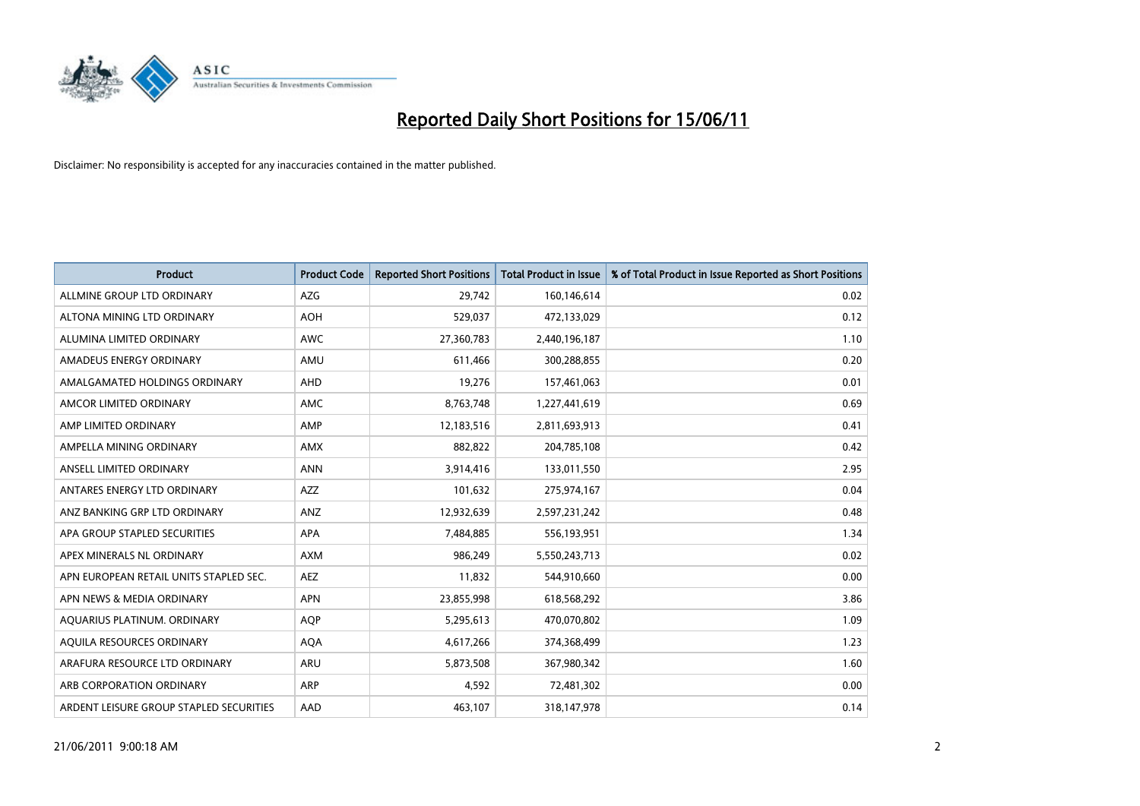

| <b>Product</b>                          | <b>Product Code</b> | <b>Reported Short Positions</b> | <b>Total Product in Issue</b> | % of Total Product in Issue Reported as Short Positions |
|-----------------------------------------|---------------------|---------------------------------|-------------------------------|---------------------------------------------------------|
| ALLMINE GROUP LTD ORDINARY              | <b>AZG</b>          | 29.742                          | 160,146,614                   | 0.02                                                    |
| ALTONA MINING LTD ORDINARY              | <b>AOH</b>          | 529,037                         | 472,133,029                   | 0.12                                                    |
| ALUMINA LIMITED ORDINARY                | <b>AWC</b>          | 27,360,783                      | 2,440,196,187                 | 1.10                                                    |
| AMADEUS ENERGY ORDINARY                 | AMU                 | 611,466                         | 300,288,855                   | 0.20                                                    |
| AMALGAMATED HOLDINGS ORDINARY           | AHD                 | 19,276                          | 157,461,063                   | 0.01                                                    |
| AMCOR LIMITED ORDINARY                  | <b>AMC</b>          | 8,763,748                       | 1,227,441,619                 | 0.69                                                    |
| AMP LIMITED ORDINARY                    | AMP                 | 12,183,516                      | 2,811,693,913                 | 0.41                                                    |
| AMPELLA MINING ORDINARY                 | <b>AMX</b>          | 882,822                         | 204,785,108                   | 0.42                                                    |
| ANSELL LIMITED ORDINARY                 | <b>ANN</b>          | 3,914,416                       | 133,011,550                   | 2.95                                                    |
| ANTARES ENERGY LTD ORDINARY             | <b>AZZ</b>          | 101,632                         | 275,974,167                   | 0.04                                                    |
| ANZ BANKING GRP LTD ORDINARY            | ANZ                 | 12,932,639                      | 2,597,231,242                 | 0.48                                                    |
| APA GROUP STAPLED SECURITIES            | <b>APA</b>          | 7,484,885                       | 556,193,951                   | 1.34                                                    |
| APEX MINERALS NL ORDINARY               | <b>AXM</b>          | 986.249                         | 5,550,243,713                 | 0.02                                                    |
| APN EUROPEAN RETAIL UNITS STAPLED SEC.  | <b>AEZ</b>          | 11,832                          | 544,910,660                   | 0.00                                                    |
| APN NEWS & MEDIA ORDINARY               | <b>APN</b>          | 23,855,998                      | 618,568,292                   | 3.86                                                    |
| AQUARIUS PLATINUM. ORDINARY             | <b>AOP</b>          | 5,295,613                       | 470,070,802                   | 1.09                                                    |
| AQUILA RESOURCES ORDINARY               | <b>AQA</b>          | 4,617,266                       | 374,368,499                   | 1.23                                                    |
| ARAFURA RESOURCE LTD ORDINARY           | <b>ARU</b>          | 5,873,508                       | 367,980,342                   | 1.60                                                    |
| ARB CORPORATION ORDINARY                | <b>ARP</b>          | 4,592                           | 72,481,302                    | 0.00                                                    |
| ARDENT LEISURE GROUP STAPLED SECURITIES | AAD                 | 463.107                         | 318,147,978                   | 0.14                                                    |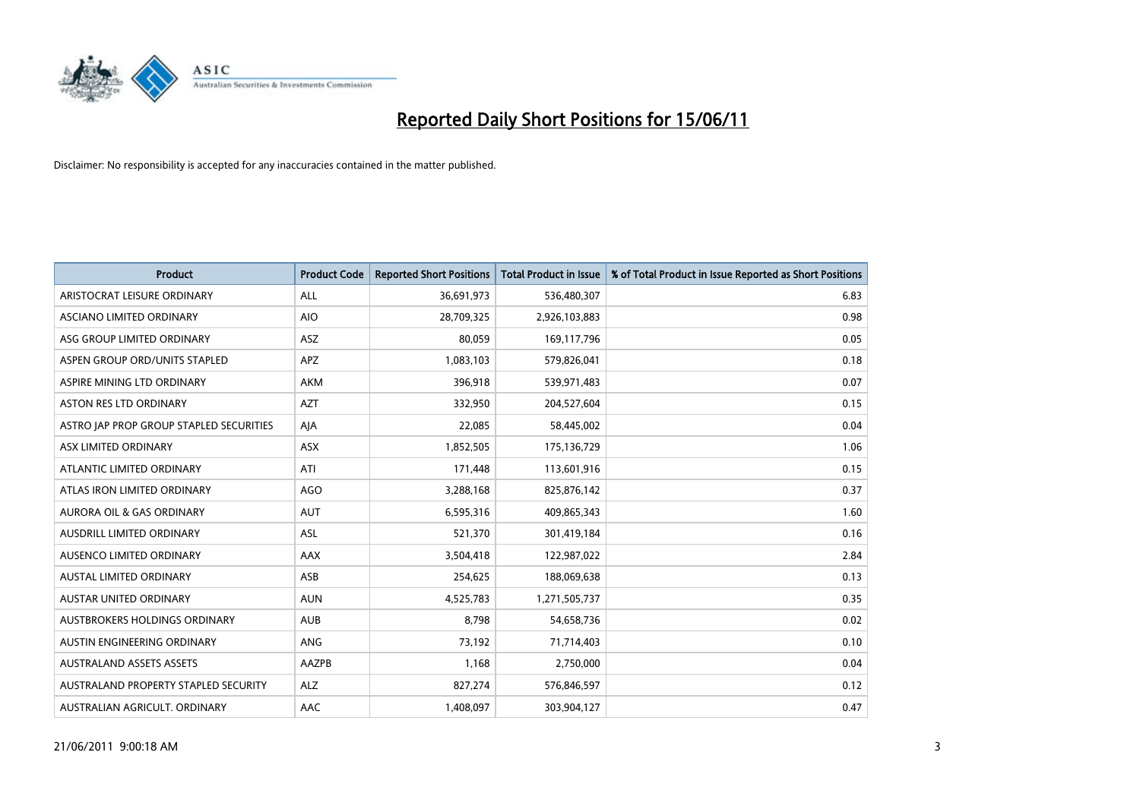

| <b>Product</b>                          | <b>Product Code</b> | <b>Reported Short Positions</b> | Total Product in Issue | % of Total Product in Issue Reported as Short Positions |
|-----------------------------------------|---------------------|---------------------------------|------------------------|---------------------------------------------------------|
| ARISTOCRAT LEISURE ORDINARY             | <b>ALL</b>          | 36,691,973                      | 536,480,307            | 6.83                                                    |
| ASCIANO LIMITED ORDINARY                | <b>AIO</b>          | 28,709,325                      | 2,926,103,883          | 0.98                                                    |
| ASG GROUP LIMITED ORDINARY              | <b>ASZ</b>          | 80.059                          | 169,117,796            | 0.05                                                    |
| ASPEN GROUP ORD/UNITS STAPLED           | <b>APZ</b>          | 1,083,103                       | 579,826,041            | 0.18                                                    |
| ASPIRE MINING LTD ORDINARY              | <b>AKM</b>          | 396,918                         | 539,971,483            | 0.07                                                    |
| <b>ASTON RES LTD ORDINARY</b>           | <b>AZT</b>          | 332,950                         | 204,527,604            | 0.15                                                    |
| ASTRO JAP PROP GROUP STAPLED SECURITIES | AJA                 | 22,085                          | 58,445,002             | 0.04                                                    |
| ASX LIMITED ORDINARY                    | <b>ASX</b>          | 1,852,505                       | 175,136,729            | 1.06                                                    |
| ATLANTIC LIMITED ORDINARY               | ATI                 | 171,448                         | 113,601,916            | 0.15                                                    |
| ATLAS IRON LIMITED ORDINARY             | <b>AGO</b>          | 3,288,168                       | 825,876,142            | 0.37                                                    |
| AURORA OIL & GAS ORDINARY               | <b>AUT</b>          | 6,595,316                       | 409,865,343            | 1.60                                                    |
| AUSDRILL LIMITED ORDINARY               | <b>ASL</b>          | 521,370                         | 301,419,184            | 0.16                                                    |
| AUSENCO LIMITED ORDINARY                | <b>AAX</b>          | 3,504,418                       | 122,987,022            | 2.84                                                    |
| <b>AUSTAL LIMITED ORDINARY</b>          | ASB                 | 254,625                         | 188,069,638            | 0.13                                                    |
| <b>AUSTAR UNITED ORDINARY</b>           | <b>AUN</b>          | 4,525,783                       | 1,271,505,737          | 0.35                                                    |
| AUSTBROKERS HOLDINGS ORDINARY           | <b>AUB</b>          | 8,798                           | 54,658,736             | 0.02                                                    |
| AUSTIN ENGINEERING ORDINARY             | ANG                 | 73,192                          | 71,714,403             | 0.10                                                    |
| <b>AUSTRALAND ASSETS ASSETS</b>         | AAZPB               | 1,168                           | 2,750,000              | 0.04                                                    |
| AUSTRALAND PROPERTY STAPLED SECURITY    | <b>ALZ</b>          | 827,274                         | 576,846,597            | 0.12                                                    |
| AUSTRALIAN AGRICULT. ORDINARY           | AAC                 | 1,408,097                       | 303,904,127            | 0.47                                                    |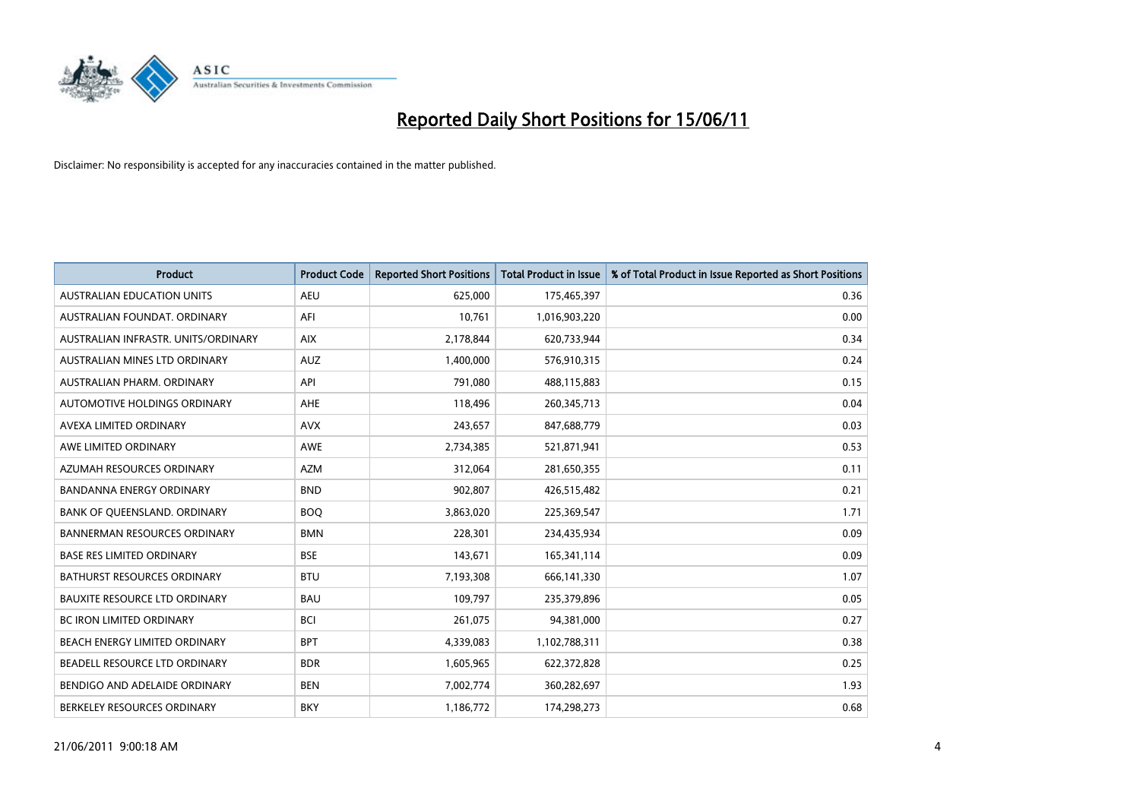

| <b>Product</b>                       | <b>Product Code</b> | <b>Reported Short Positions</b> | Total Product in Issue | % of Total Product in Issue Reported as Short Positions |
|--------------------------------------|---------------------|---------------------------------|------------------------|---------------------------------------------------------|
| <b>AUSTRALIAN EDUCATION UNITS</b>    | <b>AEU</b>          | 625,000                         | 175,465,397            | 0.36                                                    |
| AUSTRALIAN FOUNDAT, ORDINARY         | AFI                 | 10.761                          | 1,016,903,220          | 0.00                                                    |
| AUSTRALIAN INFRASTR, UNITS/ORDINARY  | <b>AIX</b>          | 2,178,844                       | 620,733,944            | 0.34                                                    |
| AUSTRALIAN MINES LTD ORDINARY        | <b>AUZ</b>          | 1,400,000                       | 576,910,315            | 0.24                                                    |
| AUSTRALIAN PHARM, ORDINARY           | API                 | 791,080                         | 488,115,883            | 0.15                                                    |
| AUTOMOTIVE HOLDINGS ORDINARY         | <b>AHE</b>          | 118,496                         | 260,345,713            | 0.04                                                    |
| AVEXA LIMITED ORDINARY               | <b>AVX</b>          | 243,657                         | 847,688,779            | 0.03                                                    |
| AWE LIMITED ORDINARY                 | <b>AWE</b>          | 2,734,385                       | 521,871,941            | 0.53                                                    |
| AZUMAH RESOURCES ORDINARY            | <b>AZM</b>          | 312,064                         | 281,650,355            | 0.11                                                    |
| <b>BANDANNA ENERGY ORDINARY</b>      | <b>BND</b>          | 902,807                         | 426,515,482            | 0.21                                                    |
| BANK OF QUEENSLAND. ORDINARY         | <b>BOQ</b>          | 3,863,020                       | 225,369,547            | 1.71                                                    |
| <b>BANNERMAN RESOURCES ORDINARY</b>  | <b>BMN</b>          | 228,301                         | 234,435,934            | 0.09                                                    |
| <b>BASE RES LIMITED ORDINARY</b>     | <b>BSE</b>          | 143,671                         | 165,341,114            | 0.09                                                    |
| <b>BATHURST RESOURCES ORDINARY</b>   | <b>BTU</b>          | 7,193,308                       | 666,141,330            | 1.07                                                    |
| <b>BAUXITE RESOURCE LTD ORDINARY</b> | <b>BAU</b>          | 109,797                         | 235,379,896            | 0.05                                                    |
| <b>BC IRON LIMITED ORDINARY</b>      | <b>BCI</b>          | 261,075                         | 94,381,000             | 0.27                                                    |
| BEACH ENERGY LIMITED ORDINARY        | <b>BPT</b>          | 4,339,083                       | 1,102,788,311          | 0.38                                                    |
| BEADELL RESOURCE LTD ORDINARY        | <b>BDR</b>          | 1,605,965                       | 622,372,828            | 0.25                                                    |
| BENDIGO AND ADELAIDE ORDINARY        | <b>BEN</b>          | 7,002,774                       | 360,282,697            | 1.93                                                    |
| BERKELEY RESOURCES ORDINARY          | <b>BKY</b>          | 1,186,772                       | 174.298.273            | 0.68                                                    |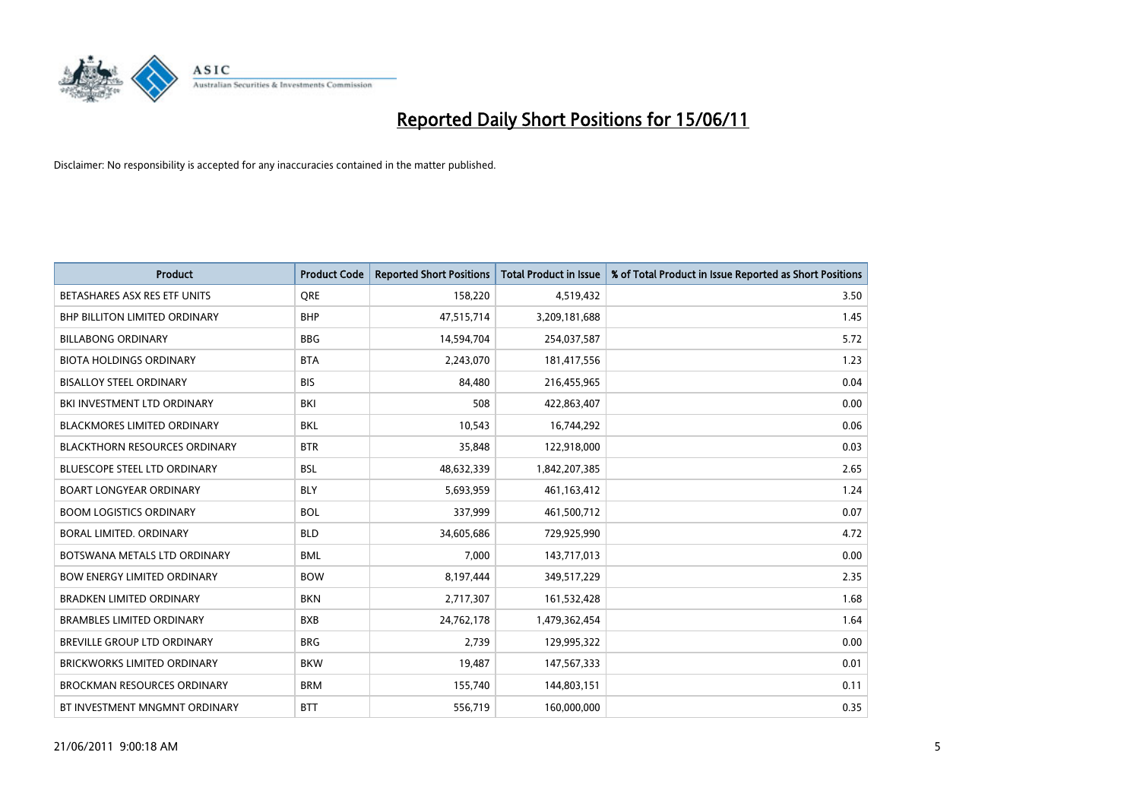

| <b>Product</b>                       | <b>Product Code</b> | <b>Reported Short Positions</b> | <b>Total Product in Issue</b> | % of Total Product in Issue Reported as Short Positions |
|--------------------------------------|---------------------|---------------------------------|-------------------------------|---------------------------------------------------------|
| BETASHARES ASX RES ETF UNITS         | <b>ORE</b>          | 158,220                         | 4,519,432                     | 3.50                                                    |
| BHP BILLITON LIMITED ORDINARY        | <b>BHP</b>          | 47,515,714                      | 3,209,181,688                 | 1.45                                                    |
| <b>BILLABONG ORDINARY</b>            | <b>BBG</b>          | 14,594,704                      | 254,037,587                   | 5.72                                                    |
| <b>BIOTA HOLDINGS ORDINARY</b>       | <b>BTA</b>          | 2,243,070                       | 181,417,556                   | 1.23                                                    |
| <b>BISALLOY STEEL ORDINARY</b>       | <b>BIS</b>          | 84,480                          | 216,455,965                   | 0.04                                                    |
| BKI INVESTMENT LTD ORDINARY          | <b>BKI</b>          | 508                             | 422,863,407                   | 0.00                                                    |
| <b>BLACKMORES LIMITED ORDINARY</b>   | <b>BKL</b>          | 10,543                          | 16,744,292                    | 0.06                                                    |
| <b>BLACKTHORN RESOURCES ORDINARY</b> | <b>BTR</b>          | 35,848                          | 122,918,000                   | 0.03                                                    |
| <b>BLUESCOPE STEEL LTD ORDINARY</b>  | <b>BSL</b>          | 48,632,339                      | 1,842,207,385                 | 2.65                                                    |
| <b>BOART LONGYEAR ORDINARY</b>       | <b>BLY</b>          | 5,693,959                       | 461,163,412                   | 1.24                                                    |
| <b>BOOM LOGISTICS ORDINARY</b>       | <b>BOL</b>          | 337,999                         | 461,500,712                   | 0.07                                                    |
| BORAL LIMITED. ORDINARY              | <b>BLD</b>          | 34,605,686                      | 729,925,990                   | 4.72                                                    |
| BOTSWANA METALS LTD ORDINARY         | <b>BML</b>          | 7,000                           | 143,717,013                   | 0.00                                                    |
| <b>BOW ENERGY LIMITED ORDINARY</b>   | <b>BOW</b>          | 8,197,444                       | 349,517,229                   | 2.35                                                    |
| <b>BRADKEN LIMITED ORDINARY</b>      | <b>BKN</b>          | 2,717,307                       | 161,532,428                   | 1.68                                                    |
| <b>BRAMBLES LIMITED ORDINARY</b>     | <b>BXB</b>          | 24,762,178                      | 1,479,362,454                 | 1.64                                                    |
| BREVILLE GROUP LTD ORDINARY          | <b>BRG</b>          | 2,739                           | 129,995,322                   | 0.00                                                    |
| <b>BRICKWORKS LIMITED ORDINARY</b>   | <b>BKW</b>          | 19,487                          | 147,567,333                   | 0.01                                                    |
| <b>BROCKMAN RESOURCES ORDINARY</b>   | <b>BRM</b>          | 155,740                         | 144,803,151                   | 0.11                                                    |
| BT INVESTMENT MNGMNT ORDINARY        | <b>BTT</b>          | 556,719                         | 160,000,000                   | 0.35                                                    |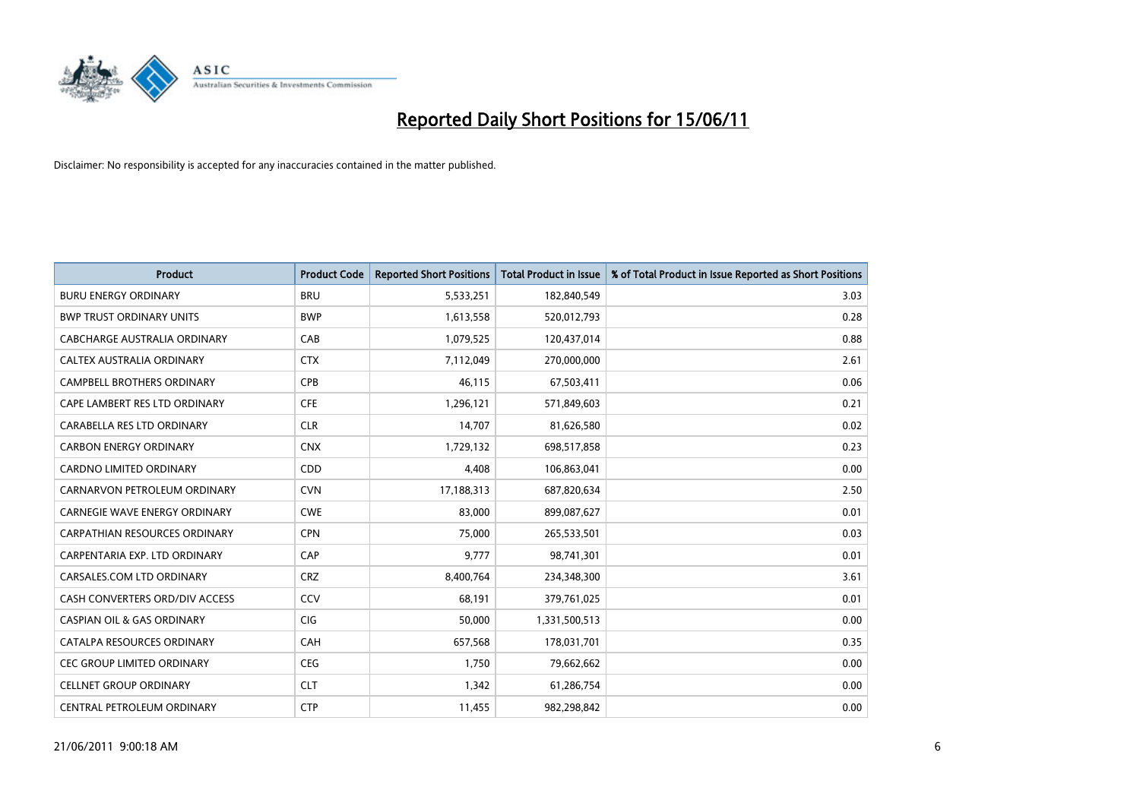

| <b>Product</b>                        | <b>Product Code</b> | <b>Reported Short Positions</b> | <b>Total Product in Issue</b> | % of Total Product in Issue Reported as Short Positions |
|---------------------------------------|---------------------|---------------------------------|-------------------------------|---------------------------------------------------------|
| <b>BURU ENERGY ORDINARY</b>           | <b>BRU</b>          | 5,533,251                       | 182,840,549                   | 3.03                                                    |
| <b>BWP TRUST ORDINARY UNITS</b>       | <b>BWP</b>          | 1,613,558                       | 520,012,793                   | 0.28                                                    |
| CABCHARGE AUSTRALIA ORDINARY          | CAB                 | 1,079,525                       | 120,437,014                   | 0.88                                                    |
| CALTEX AUSTRALIA ORDINARY             | <b>CTX</b>          | 7,112,049                       | 270,000,000                   | 2.61                                                    |
| <b>CAMPBELL BROTHERS ORDINARY</b>     | <b>CPB</b>          | 46,115                          | 67,503,411                    | 0.06                                                    |
| CAPE LAMBERT RES LTD ORDINARY         | <b>CFE</b>          | 1,296,121                       | 571,849,603                   | 0.21                                                    |
| CARABELLA RES LTD ORDINARY            | <b>CLR</b>          | 14,707                          | 81,626,580                    | 0.02                                                    |
| <b>CARBON ENERGY ORDINARY</b>         | <b>CNX</b>          | 1,729,132                       | 698,517,858                   | 0.23                                                    |
| <b>CARDNO LIMITED ORDINARY</b>        | <b>CDD</b>          | 4,408                           | 106,863,041                   | 0.00                                                    |
| CARNARVON PETROLEUM ORDINARY          | <b>CVN</b>          | 17,188,313                      | 687,820,634                   | 2.50                                                    |
| <b>CARNEGIE WAVE ENERGY ORDINARY</b>  | <b>CWE</b>          | 83,000                          | 899,087,627                   | 0.01                                                    |
| CARPATHIAN RESOURCES ORDINARY         | <b>CPN</b>          | 75,000                          | 265,533,501                   | 0.03                                                    |
| CARPENTARIA EXP. LTD ORDINARY         | CAP                 | 9,777                           | 98,741,301                    | 0.01                                                    |
| CARSALES.COM LTD ORDINARY             | <b>CRZ</b>          | 8,400,764                       | 234,348,300                   | 3.61                                                    |
| CASH CONVERTERS ORD/DIV ACCESS        | CCV                 | 68.191                          | 379,761,025                   | 0.01                                                    |
| <b>CASPIAN OIL &amp; GAS ORDINARY</b> | <b>CIG</b>          | 50,000                          | 1,331,500,513                 | 0.00                                                    |
| CATALPA RESOURCES ORDINARY            | CAH                 | 657,568                         | 178,031,701                   | 0.35                                                    |
| <b>CEC GROUP LIMITED ORDINARY</b>     | <b>CEG</b>          | 1,750                           | 79,662,662                    | 0.00                                                    |
| <b>CELLNET GROUP ORDINARY</b>         | <b>CLT</b>          | 1,342                           | 61,286,754                    | 0.00                                                    |
| CENTRAL PETROLEUM ORDINARY            | <b>CTP</b>          | 11,455                          | 982,298,842                   | 0.00                                                    |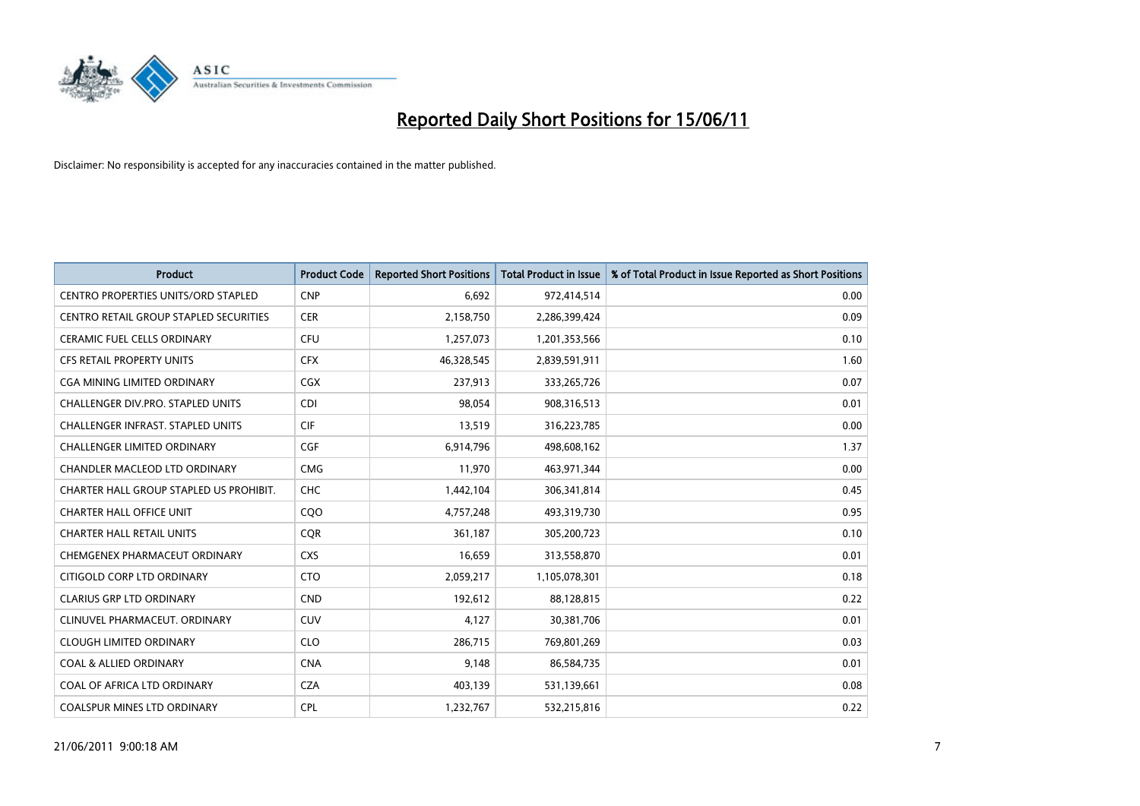

| <b>Product</b>                             | <b>Product Code</b> | <b>Reported Short Positions</b> | Total Product in Issue | % of Total Product in Issue Reported as Short Positions |
|--------------------------------------------|---------------------|---------------------------------|------------------------|---------------------------------------------------------|
| <b>CENTRO PROPERTIES UNITS/ORD STAPLED</b> | <b>CNP</b>          | 6,692                           | 972,414,514            | 0.00                                                    |
| CENTRO RETAIL GROUP STAPLED SECURITIES     | <b>CER</b>          | 2,158,750                       | 2,286,399,424          | 0.09                                                    |
| <b>CERAMIC FUEL CELLS ORDINARY</b>         | <b>CFU</b>          | 1,257,073                       | 1,201,353,566          | 0.10                                                    |
| <b>CFS RETAIL PROPERTY UNITS</b>           | <b>CFX</b>          | 46,328,545                      | 2,839,591,911          | 1.60                                                    |
| CGA MINING LIMITED ORDINARY                | CGX                 | 237,913                         | 333,265,726            | 0.07                                                    |
| <b>CHALLENGER DIV.PRO. STAPLED UNITS</b>   | <b>CDI</b>          | 98.054                          | 908,316,513            | 0.01                                                    |
| <b>CHALLENGER INFRAST, STAPLED UNITS</b>   | <b>CIF</b>          | 13,519                          | 316,223,785            | 0.00                                                    |
| <b>CHALLENGER LIMITED ORDINARY</b>         | <b>CGF</b>          | 6,914,796                       | 498,608,162            | 1.37                                                    |
| CHANDLER MACLEOD LTD ORDINARY              | <b>CMG</b>          | 11,970                          | 463,971,344            | 0.00                                                    |
| CHARTER HALL GROUP STAPLED US PROHIBIT.    | <b>CHC</b>          | 1,442,104                       | 306,341,814            | 0.45                                                    |
| <b>CHARTER HALL OFFICE UNIT</b>            | COO                 | 4,757,248                       | 493,319,730            | 0.95                                                    |
| <b>CHARTER HALL RETAIL UNITS</b>           | <b>COR</b>          | 361,187                         | 305,200,723            | 0.10                                                    |
| CHEMGENEX PHARMACEUT ORDINARY              | <b>CXS</b>          | 16,659                          | 313,558,870            | 0.01                                                    |
| CITIGOLD CORP LTD ORDINARY                 | <b>CTO</b>          | 2,059,217                       | 1,105,078,301          | 0.18                                                    |
| <b>CLARIUS GRP LTD ORDINARY</b>            | <b>CND</b>          | 192,612                         | 88,128,815             | 0.22                                                    |
| CLINUVEL PHARMACEUT, ORDINARY              | CUV                 | 4,127                           | 30,381,706             | 0.01                                                    |
| <b>CLOUGH LIMITED ORDINARY</b>             | <b>CLO</b>          | 286,715                         | 769,801,269            | 0.03                                                    |
| <b>COAL &amp; ALLIED ORDINARY</b>          | <b>CNA</b>          | 9,148                           | 86,584,735             | 0.01                                                    |
| COAL OF AFRICA LTD ORDINARY                | <b>CZA</b>          | 403,139                         | 531,139,661            | 0.08                                                    |
| COALSPUR MINES LTD ORDINARY                | <b>CPL</b>          | 1,232,767                       | 532,215,816            | 0.22                                                    |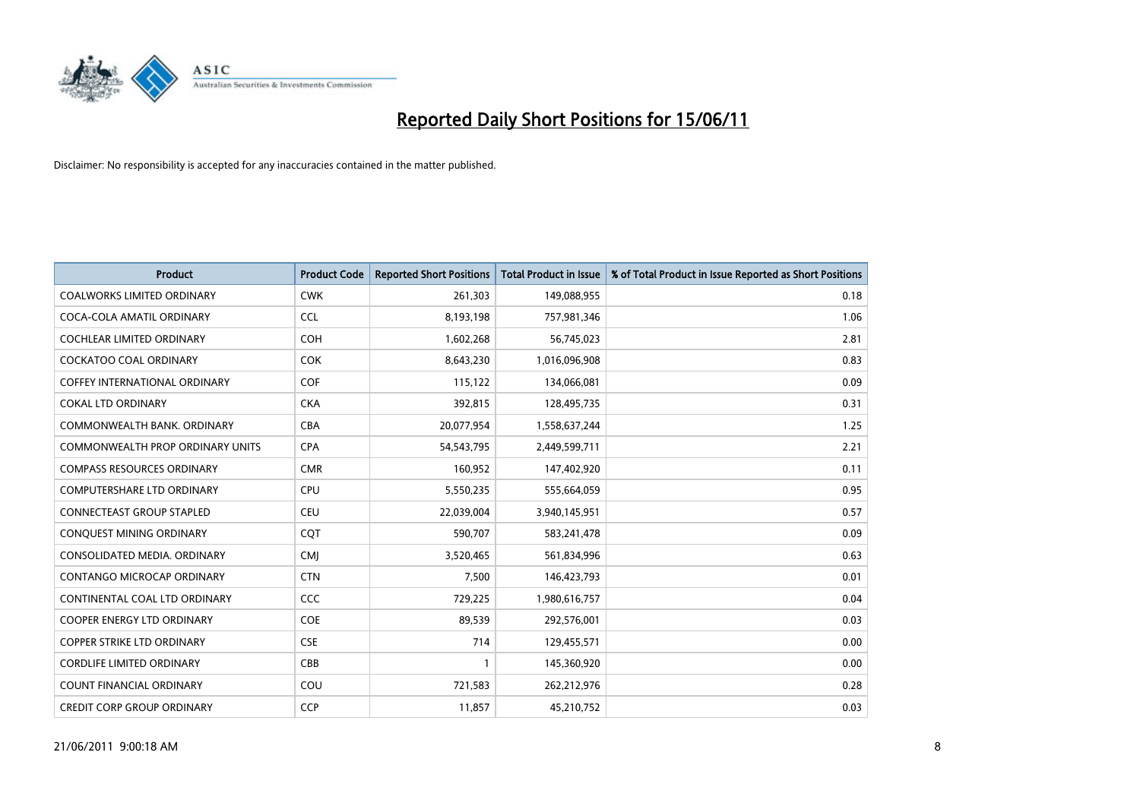

| <b>Product</b>                       | <b>Product Code</b> | <b>Reported Short Positions</b> | <b>Total Product in Issue</b> | % of Total Product in Issue Reported as Short Positions |
|--------------------------------------|---------------------|---------------------------------|-------------------------------|---------------------------------------------------------|
| <b>COALWORKS LIMITED ORDINARY</b>    | <b>CWK</b>          | 261,303                         | 149,088,955                   | 0.18                                                    |
| COCA-COLA AMATIL ORDINARY            | <b>CCL</b>          | 8,193,198                       | 757,981,346                   | 1.06                                                    |
| <b>COCHLEAR LIMITED ORDINARY</b>     | <b>COH</b>          | 1,602,268                       | 56,745,023                    | 2.81                                                    |
| COCKATOO COAL ORDINARY               | <b>COK</b>          | 8,643,230                       | 1,016,096,908                 | 0.83                                                    |
| <b>COFFEY INTERNATIONAL ORDINARY</b> | <b>COF</b>          | 115,122                         | 134,066,081                   | 0.09                                                    |
| <b>COKAL LTD ORDINARY</b>            | <b>CKA</b>          | 392,815                         | 128,495,735                   | 0.31                                                    |
| COMMONWEALTH BANK, ORDINARY          | CBA                 | 20,077,954                      | 1,558,637,244                 | 1.25                                                    |
| COMMONWEALTH PROP ORDINARY UNITS     | <b>CPA</b>          | 54,543,795                      | 2,449,599,711                 | 2.21                                                    |
| <b>COMPASS RESOURCES ORDINARY</b>    | <b>CMR</b>          | 160,952                         | 147,402,920                   | 0.11                                                    |
| <b>COMPUTERSHARE LTD ORDINARY</b>    | <b>CPU</b>          | 5,550,235                       | 555,664,059                   | 0.95                                                    |
| CONNECTEAST GROUP STAPLED            | CEU                 | 22,039,004                      | 3,940,145,951                 | 0.57                                                    |
| CONQUEST MINING ORDINARY             | CQT                 | 590,707                         | 583,241,478                   | 0.09                                                    |
| CONSOLIDATED MEDIA. ORDINARY         | <b>CMI</b>          | 3,520,465                       | 561,834,996                   | 0.63                                                    |
| <b>CONTANGO MICROCAP ORDINARY</b>    | <b>CTN</b>          | 7,500                           | 146,423,793                   | 0.01                                                    |
| CONTINENTAL COAL LTD ORDINARY        | CCC                 | 729,225                         | 1,980,616,757                 | 0.04                                                    |
| <b>COOPER ENERGY LTD ORDINARY</b>    | <b>COE</b>          | 89,539                          | 292,576,001                   | 0.03                                                    |
| <b>COPPER STRIKE LTD ORDINARY</b>    | <b>CSE</b>          | 714                             | 129,455,571                   | 0.00                                                    |
| <b>CORDLIFE LIMITED ORDINARY</b>     | CBB                 |                                 | 145,360,920                   | 0.00                                                    |
| <b>COUNT FINANCIAL ORDINARY</b>      | COU                 | 721,583                         | 262,212,976                   | 0.28                                                    |
| <b>CREDIT CORP GROUP ORDINARY</b>    | <b>CCP</b>          | 11,857                          | 45,210,752                    | 0.03                                                    |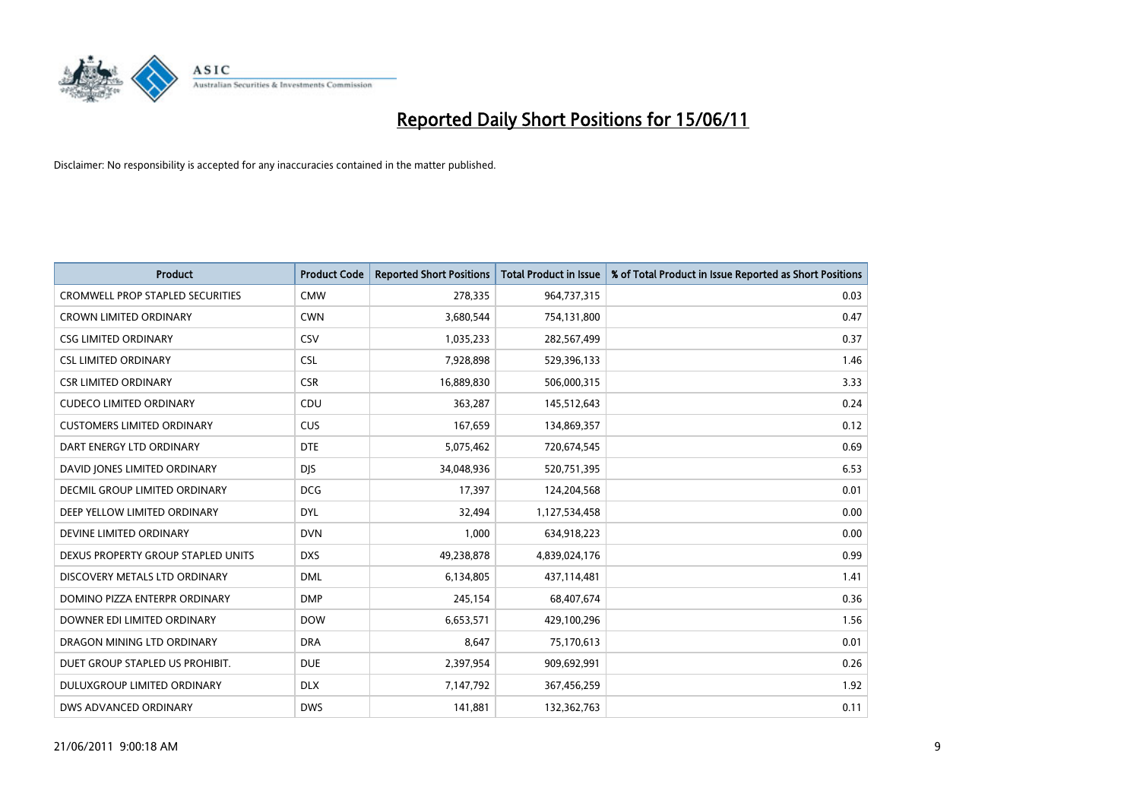

| <b>Product</b>                          | <b>Product Code</b> | <b>Reported Short Positions</b> | <b>Total Product in Issue</b> | % of Total Product in Issue Reported as Short Positions |
|-----------------------------------------|---------------------|---------------------------------|-------------------------------|---------------------------------------------------------|
| <b>CROMWELL PROP STAPLED SECURITIES</b> | <b>CMW</b>          | 278,335                         | 964,737,315                   | 0.03                                                    |
| <b>CROWN LIMITED ORDINARY</b>           | <b>CWN</b>          | 3,680,544                       | 754,131,800                   | 0.47                                                    |
| <b>CSG LIMITED ORDINARY</b>             | CSV                 | 1,035,233                       | 282,567,499                   | 0.37                                                    |
| <b>CSL LIMITED ORDINARY</b>             | <b>CSL</b>          | 7,928,898                       | 529,396,133                   | 1.46                                                    |
| <b>CSR LIMITED ORDINARY</b>             | <b>CSR</b>          | 16,889,830                      | 506,000,315                   | 3.33                                                    |
| <b>CUDECO LIMITED ORDINARY</b>          | CDU                 | 363,287                         | 145,512,643                   | 0.24                                                    |
| <b>CUSTOMERS LIMITED ORDINARY</b>       | CUS                 | 167,659                         | 134,869,357                   | 0.12                                                    |
| DART ENERGY LTD ORDINARY                | <b>DTE</b>          | 5,075,462                       | 720,674,545                   | 0.69                                                    |
| DAVID JONES LIMITED ORDINARY            | <b>DJS</b>          | 34,048,936                      | 520,751,395                   | 6.53                                                    |
| DECMIL GROUP LIMITED ORDINARY           | <b>DCG</b>          | 17,397                          | 124,204,568                   | 0.01                                                    |
| DEEP YELLOW LIMITED ORDINARY            | <b>DYL</b>          | 32,494                          | 1,127,534,458                 | 0.00                                                    |
| DEVINE LIMITED ORDINARY                 | <b>DVN</b>          | 1,000                           | 634,918,223                   | 0.00                                                    |
| DEXUS PROPERTY GROUP STAPLED UNITS      | <b>DXS</b>          | 49,238,878                      | 4,839,024,176                 | 0.99                                                    |
| DISCOVERY METALS LTD ORDINARY           | <b>DML</b>          | 6,134,805                       | 437,114,481                   | 1.41                                                    |
| DOMINO PIZZA ENTERPR ORDINARY           | <b>DMP</b>          | 245,154                         | 68,407,674                    | 0.36                                                    |
| DOWNER EDI LIMITED ORDINARY             | <b>DOW</b>          | 6,653,571                       | 429,100,296                   | 1.56                                                    |
| DRAGON MINING LTD ORDINARY              | <b>DRA</b>          | 8,647                           | 75,170,613                    | 0.01                                                    |
| DUET GROUP STAPLED US PROHIBIT.         | <b>DUE</b>          | 2,397,954                       | 909,692,991                   | 0.26                                                    |
| DULUXGROUP LIMITED ORDINARY             | <b>DLX</b>          | 7,147,792                       | 367,456,259                   | 1.92                                                    |
| DWS ADVANCED ORDINARY                   | <b>DWS</b>          | 141,881                         | 132,362,763                   | 0.11                                                    |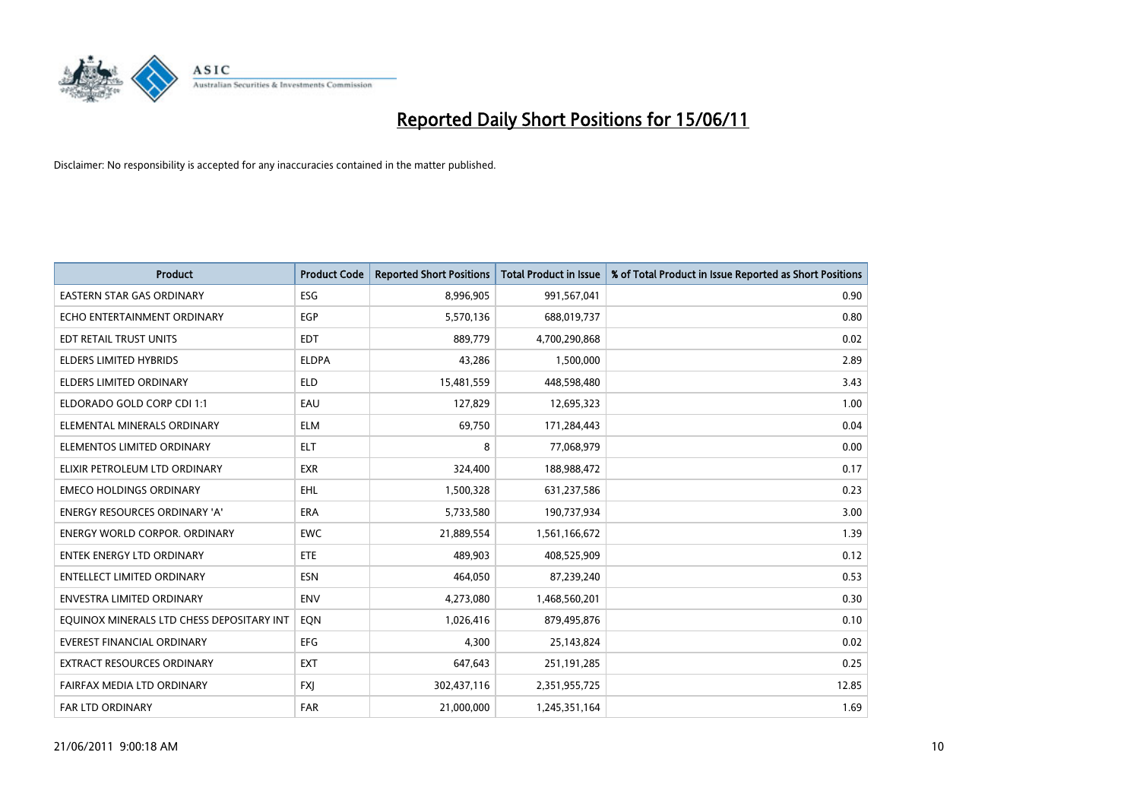

| <b>Product</b>                            | <b>Product Code</b> | <b>Reported Short Positions</b> | Total Product in Issue | % of Total Product in Issue Reported as Short Positions |
|-------------------------------------------|---------------------|---------------------------------|------------------------|---------------------------------------------------------|
| <b>EASTERN STAR GAS ORDINARY</b>          | ESG                 | 8,996,905                       | 991,567,041            | 0.90                                                    |
| ECHO ENTERTAINMENT ORDINARY               | <b>EGP</b>          | 5,570,136                       | 688,019,737            | 0.80                                                    |
| EDT RETAIL TRUST UNITS                    | <b>EDT</b>          | 889,779                         | 4,700,290,868          | 0.02                                                    |
| ELDERS LIMITED HYBRIDS                    | <b>ELDPA</b>        | 43,286                          | 1,500,000              | 2.89                                                    |
| <b>ELDERS LIMITED ORDINARY</b>            | <b>ELD</b>          | 15,481,559                      | 448,598,480            | 3.43                                                    |
| ELDORADO GOLD CORP CDI 1:1                | EAU                 | 127,829                         | 12,695,323             | 1.00                                                    |
| ELEMENTAL MINERALS ORDINARY               | <b>ELM</b>          | 69,750                          | 171,284,443            | 0.04                                                    |
| ELEMENTOS LIMITED ORDINARY                | <b>ELT</b>          | 8                               | 77,068,979             | 0.00                                                    |
| ELIXIR PETROLEUM LTD ORDINARY             | <b>EXR</b>          | 324,400                         | 188,988,472            | 0.17                                                    |
| <b>EMECO HOLDINGS ORDINARY</b>            | <b>EHL</b>          | 1,500,328                       | 631,237,586            | 0.23                                                    |
| ENERGY RESOURCES ORDINARY 'A'             | <b>ERA</b>          | 5,733,580                       | 190,737,934            | 3.00                                                    |
| <b>ENERGY WORLD CORPOR, ORDINARY</b>      | <b>EWC</b>          | 21,889,554                      | 1,561,166,672          | 1.39                                                    |
| ENTEK ENERGY LTD ORDINARY                 | <b>ETE</b>          | 489,903                         | 408,525,909            | 0.12                                                    |
| <b>ENTELLECT LIMITED ORDINARY</b>         | <b>ESN</b>          | 464,050                         | 87,239,240             | 0.53                                                    |
| <b>ENVESTRA LIMITED ORDINARY</b>          | <b>ENV</b>          | 4,273,080                       | 1,468,560,201          | 0.30                                                    |
| EQUINOX MINERALS LTD CHESS DEPOSITARY INT | EON                 | 1,026,416                       | 879,495,876            | 0.10                                                    |
| EVEREST FINANCIAL ORDINARY                | EFG                 | 4,300                           | 25,143,824             | 0.02                                                    |
| EXTRACT RESOURCES ORDINARY                | <b>EXT</b>          | 647,643                         | 251,191,285            | 0.25                                                    |
| FAIRFAX MEDIA LTD ORDINARY                | <b>FXI</b>          | 302,437,116                     | 2,351,955,725          | 12.85                                                   |
| <b>FAR LTD ORDINARY</b>                   | <b>FAR</b>          | 21,000,000                      | 1,245,351,164          | 1.69                                                    |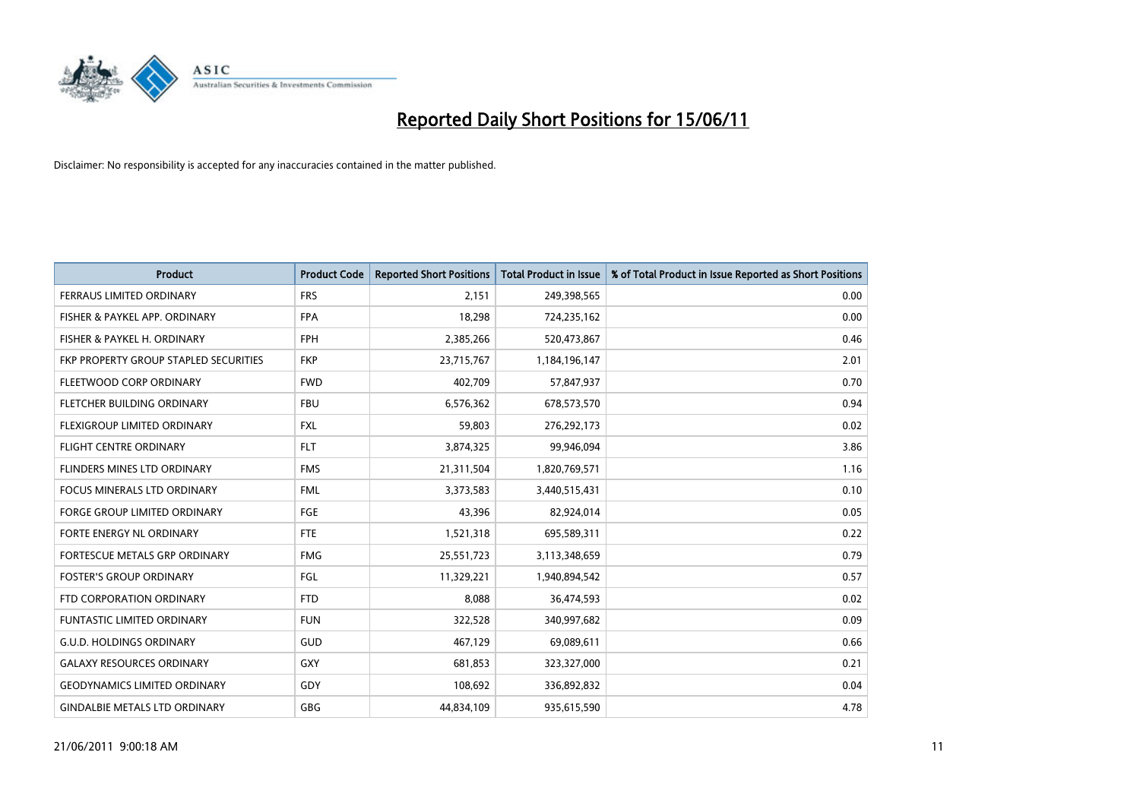

| <b>Product</b>                        | <b>Product Code</b> | <b>Reported Short Positions</b> | <b>Total Product in Issue</b> | % of Total Product in Issue Reported as Short Positions |
|---------------------------------------|---------------------|---------------------------------|-------------------------------|---------------------------------------------------------|
| <b>FERRAUS LIMITED ORDINARY</b>       | <b>FRS</b>          | 2.151                           | 249,398,565                   | 0.00                                                    |
| FISHER & PAYKEL APP. ORDINARY         | <b>FPA</b>          | 18,298                          | 724,235,162                   | 0.00                                                    |
| FISHER & PAYKEL H. ORDINARY           | <b>FPH</b>          | 2,385,266                       | 520,473,867                   | 0.46                                                    |
| FKP PROPERTY GROUP STAPLED SECURITIES | <b>FKP</b>          | 23,715,767                      | 1,184,196,147                 | 2.01                                                    |
| FLEETWOOD CORP ORDINARY               | <b>FWD</b>          | 402,709                         | 57,847,937                    | 0.70                                                    |
| FLETCHER BUILDING ORDINARY            | <b>FBU</b>          | 6,576,362                       | 678,573,570                   | 0.94                                                    |
| FLEXIGROUP LIMITED ORDINARY           | <b>FXL</b>          | 59,803                          | 276,292,173                   | 0.02                                                    |
| <b>FLIGHT CENTRE ORDINARY</b>         | <b>FLT</b>          | 3,874,325                       | 99,946,094                    | 3.86                                                    |
| FLINDERS MINES LTD ORDINARY           | <b>FMS</b>          | 21,311,504                      | 1,820,769,571                 | 1.16                                                    |
| <b>FOCUS MINERALS LTD ORDINARY</b>    | <b>FML</b>          | 3,373,583                       | 3,440,515,431                 | 0.10                                                    |
| <b>FORGE GROUP LIMITED ORDINARY</b>   | <b>FGE</b>          | 43,396                          | 82,924,014                    | 0.05                                                    |
| FORTE ENERGY NL ORDINARY              | <b>FTE</b>          | 1,521,318                       | 695,589,311                   | 0.22                                                    |
| FORTESCUE METALS GRP ORDINARY         | <b>FMG</b>          | 25,551,723                      | 3,113,348,659                 | 0.79                                                    |
| <b>FOSTER'S GROUP ORDINARY</b>        | FGL                 | 11,329,221                      | 1,940,894,542                 | 0.57                                                    |
| FTD CORPORATION ORDINARY              | <b>FTD</b>          | 8,088                           | 36,474,593                    | 0.02                                                    |
| <b>FUNTASTIC LIMITED ORDINARY</b>     | <b>FUN</b>          | 322,528                         | 340,997,682                   | 0.09                                                    |
| <b>G.U.D. HOLDINGS ORDINARY</b>       | <b>GUD</b>          | 467,129                         | 69,089,611                    | 0.66                                                    |
| <b>GALAXY RESOURCES ORDINARY</b>      | <b>GXY</b>          | 681,853                         | 323,327,000                   | 0.21                                                    |
| <b>GEODYNAMICS LIMITED ORDINARY</b>   | GDY                 | 108,692                         | 336,892,832                   | 0.04                                                    |
| <b>GINDALBIE METALS LTD ORDINARY</b>  | <b>GBG</b>          | 44,834,109                      | 935,615,590                   | 4.78                                                    |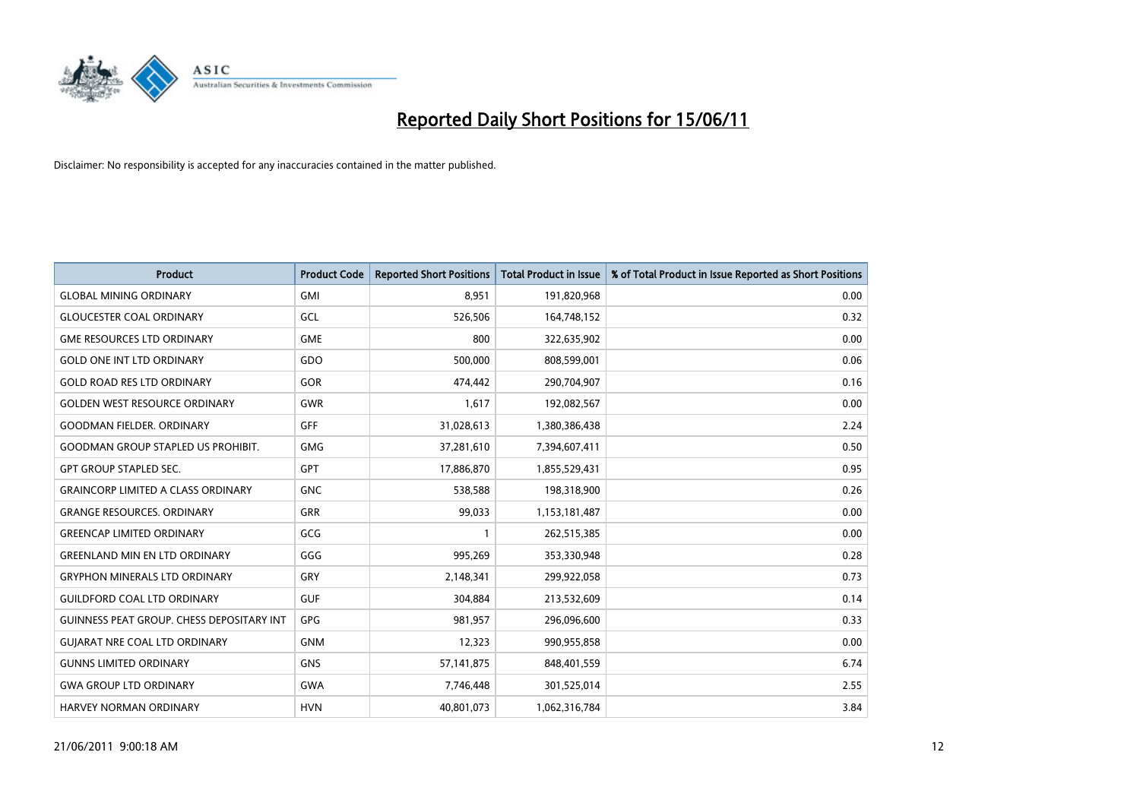

| <b>Product</b>                                   | <b>Product Code</b> | <b>Reported Short Positions</b> | <b>Total Product in Issue</b> | % of Total Product in Issue Reported as Short Positions |
|--------------------------------------------------|---------------------|---------------------------------|-------------------------------|---------------------------------------------------------|
| <b>GLOBAL MINING ORDINARY</b>                    | <b>GMI</b>          | 8,951                           | 191,820,968                   | 0.00                                                    |
| <b>GLOUCESTER COAL ORDINARY</b>                  | GCL                 | 526,506                         | 164,748,152                   | 0.32                                                    |
| <b>GME RESOURCES LTD ORDINARY</b>                | <b>GME</b>          | 800                             | 322,635,902                   | 0.00                                                    |
| <b>GOLD ONE INT LTD ORDINARY</b>                 | GDO                 | 500,000                         | 808,599,001                   | 0.06                                                    |
| <b>GOLD ROAD RES LTD ORDINARY</b>                | GOR                 | 474,442                         | 290,704,907                   | 0.16                                                    |
| <b>GOLDEN WEST RESOURCE ORDINARY</b>             | <b>GWR</b>          | 1,617                           | 192,082,567                   | 0.00                                                    |
| <b>GOODMAN FIELDER, ORDINARY</b>                 | <b>GFF</b>          | 31,028,613                      | 1,380,386,438                 | 2.24                                                    |
| <b>GOODMAN GROUP STAPLED US PROHIBIT.</b>        | <b>GMG</b>          | 37,281,610                      | 7,394,607,411                 | 0.50                                                    |
| <b>GPT GROUP STAPLED SEC.</b>                    | GPT                 | 17,886,870                      | 1,855,529,431                 | 0.95                                                    |
| <b>GRAINCORP LIMITED A CLASS ORDINARY</b>        | <b>GNC</b>          | 538,588                         | 198,318,900                   | 0.26                                                    |
| <b>GRANGE RESOURCES. ORDINARY</b>                | <b>GRR</b>          | 99,033                          | 1,153,181,487                 | 0.00                                                    |
| <b>GREENCAP LIMITED ORDINARY</b>                 | GCG                 |                                 | 262,515,385                   | 0.00                                                    |
| <b>GREENLAND MIN EN LTD ORDINARY</b>             | GGG                 | 995,269                         | 353,330,948                   | 0.28                                                    |
| <b>GRYPHON MINERALS LTD ORDINARY</b>             | GRY                 | 2,148,341                       | 299,922,058                   | 0.73                                                    |
| <b>GUILDFORD COAL LTD ORDINARY</b>               | <b>GUF</b>          | 304,884                         | 213,532,609                   | 0.14                                                    |
| <b>GUINNESS PEAT GROUP. CHESS DEPOSITARY INT</b> | GPG                 | 981,957                         | 296,096,600                   | 0.33                                                    |
| <b>GUIARAT NRE COAL LTD ORDINARY</b>             | <b>GNM</b>          | 12,323                          | 990,955,858                   | 0.00                                                    |
| <b>GUNNS LIMITED ORDINARY</b>                    | <b>GNS</b>          | 57,141,875                      | 848,401,559                   | 6.74                                                    |
| <b>GWA GROUP LTD ORDINARY</b>                    | <b>GWA</b>          | 7,746,448                       | 301,525,014                   | 2.55                                                    |
| <b>HARVEY NORMAN ORDINARY</b>                    | <b>HVN</b>          | 40,801,073                      | 1,062,316,784                 | 3.84                                                    |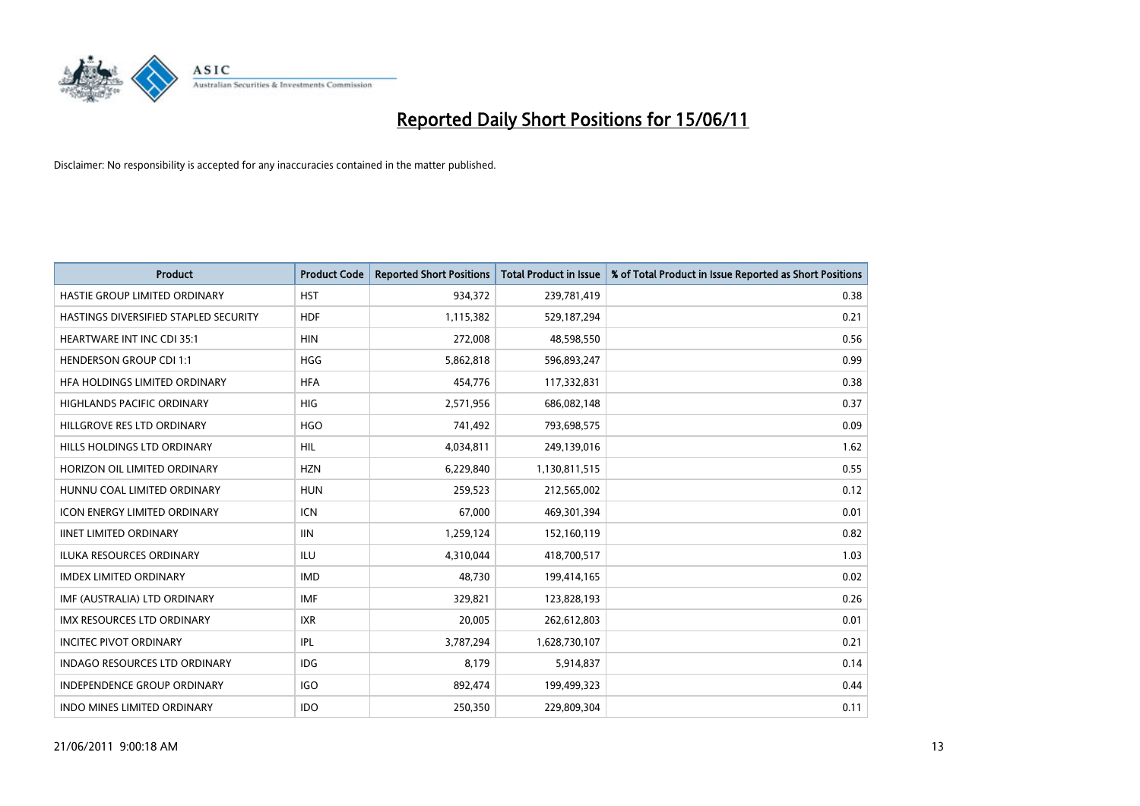

| <b>Product</b>                        | <b>Product Code</b> | <b>Reported Short Positions</b> | <b>Total Product in Issue</b> | % of Total Product in Issue Reported as Short Positions |
|---------------------------------------|---------------------|---------------------------------|-------------------------------|---------------------------------------------------------|
| HASTIE GROUP LIMITED ORDINARY         | <b>HST</b>          | 934,372                         | 239,781,419                   | 0.38                                                    |
| HASTINGS DIVERSIFIED STAPLED SECURITY | <b>HDF</b>          | 1,115,382                       | 529,187,294                   | 0.21                                                    |
| <b>HEARTWARE INT INC CDI 35:1</b>     | <b>HIN</b>          | 272.008                         | 48,598,550                    | 0.56                                                    |
| <b>HENDERSON GROUP CDI 1:1</b>        | <b>HGG</b>          | 5,862,818                       | 596,893,247                   | 0.99                                                    |
| HFA HOLDINGS LIMITED ORDINARY         | <b>HFA</b>          | 454,776                         | 117,332,831                   | 0.38                                                    |
| <b>HIGHLANDS PACIFIC ORDINARY</b>     | <b>HIG</b>          | 2,571,956                       | 686,082,148                   | 0.37                                                    |
| HILLGROVE RES LTD ORDINARY            | <b>HGO</b>          | 741,492                         | 793,698,575                   | 0.09                                                    |
| HILLS HOLDINGS LTD ORDINARY           | <b>HIL</b>          | 4,034,811                       | 249,139,016                   | 1.62                                                    |
| HORIZON OIL LIMITED ORDINARY          | <b>HZN</b>          | 6,229,840                       | 1,130,811,515                 | 0.55                                                    |
| HUNNU COAL LIMITED ORDINARY           | <b>HUN</b>          | 259,523                         | 212,565,002                   | 0.12                                                    |
| ICON ENERGY LIMITED ORDINARY          | <b>ICN</b>          | 67,000                          | 469,301,394                   | 0.01                                                    |
| <b>IINET LIMITED ORDINARY</b>         | <b>IIN</b>          | 1,259,124                       | 152,160,119                   | 0.82                                                    |
| ILUKA RESOURCES ORDINARY              | ILU                 | 4,310,044                       | 418,700,517                   | 1.03                                                    |
| <b>IMDEX LIMITED ORDINARY</b>         | <b>IMD</b>          | 48,730                          | 199,414,165                   | 0.02                                                    |
| IMF (AUSTRALIA) LTD ORDINARY          | <b>IMF</b>          | 329,821                         | 123,828,193                   | 0.26                                                    |
| <b>IMX RESOURCES LTD ORDINARY</b>     | <b>IXR</b>          | 20,005                          | 262,612,803                   | 0.01                                                    |
| <b>INCITEC PIVOT ORDINARY</b>         | <b>IPL</b>          | 3,787,294                       | 1,628,730,107                 | 0.21                                                    |
| INDAGO RESOURCES LTD ORDINARY         | IDG                 | 8,179                           | 5,914,837                     | 0.14                                                    |
| <b>INDEPENDENCE GROUP ORDINARY</b>    | <b>IGO</b>          | 892,474                         | 199,499,323                   | 0.44                                                    |
| INDO MINES LIMITED ORDINARY           | <b>IDO</b>          | 250,350                         | 229,809,304                   | 0.11                                                    |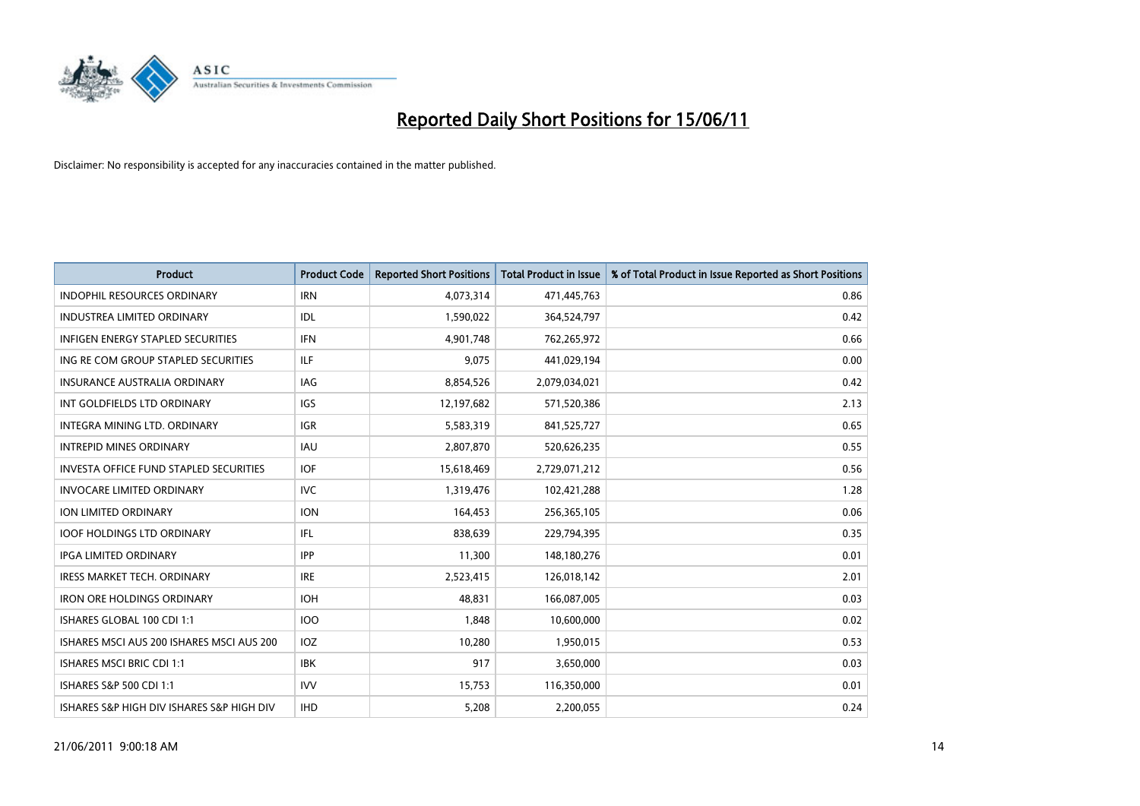

| <b>Product</b>                            | <b>Product Code</b> | <b>Reported Short Positions</b> | <b>Total Product in Issue</b> | % of Total Product in Issue Reported as Short Positions |
|-------------------------------------------|---------------------|---------------------------------|-------------------------------|---------------------------------------------------------|
| <b>INDOPHIL RESOURCES ORDINARY</b>        | <b>IRN</b>          | 4,073,314                       | 471,445,763                   | 0.86                                                    |
| INDUSTREA LIMITED ORDINARY                | IDL                 | 1,590,022                       | 364,524,797                   | 0.42                                                    |
| <b>INFIGEN ENERGY STAPLED SECURITIES</b>  | <b>IFN</b>          | 4,901,748                       | 762,265,972                   | 0.66                                                    |
| ING RE COM GROUP STAPLED SECURITIES       | <b>ILF</b>          | 9,075                           | 441,029,194                   | 0.00                                                    |
| <b>INSURANCE AUSTRALIA ORDINARY</b>       | <b>IAG</b>          | 8,854,526                       | 2,079,034,021                 | 0.42                                                    |
| INT GOLDFIELDS LTD ORDINARY               | <b>IGS</b>          | 12,197,682                      | 571,520,386                   | 2.13                                                    |
| <b>INTEGRA MINING LTD, ORDINARY</b>       | <b>IGR</b>          | 5,583,319                       | 841,525,727                   | 0.65                                                    |
| <b>INTREPID MINES ORDINARY</b>            | <b>IAU</b>          | 2,807,870                       | 520,626,235                   | 0.55                                                    |
| INVESTA OFFICE FUND STAPLED SECURITIES    | <b>IOF</b>          | 15,618,469                      | 2,729,071,212                 | 0.56                                                    |
| <b>INVOCARE LIMITED ORDINARY</b>          | <b>IVC</b>          | 1,319,476                       | 102,421,288                   | 1.28                                                    |
| ION LIMITED ORDINARY                      | <b>ION</b>          | 164,453                         | 256,365,105                   | 0.06                                                    |
| <b>IOOF HOLDINGS LTD ORDINARY</b>         | IFL.                | 838.639                         | 229,794,395                   | 0.35                                                    |
| <b>IPGA LIMITED ORDINARY</b>              | <b>IPP</b>          | 11,300                          | 148,180,276                   | 0.01                                                    |
| <b>IRESS MARKET TECH. ORDINARY</b>        | <b>IRE</b>          | 2,523,415                       | 126,018,142                   | 2.01                                                    |
| <b>IRON ORE HOLDINGS ORDINARY</b>         | <b>IOH</b>          | 48.831                          | 166,087,005                   | 0.03                                                    |
| ISHARES GLOBAL 100 CDI 1:1                | 100                 | 1,848                           | 10,600,000                    | 0.02                                                    |
| ISHARES MSCI AUS 200 ISHARES MSCI AUS 200 | <b>IOZ</b>          | 10,280                          | 1,950,015                     | 0.53                                                    |
| <b>ISHARES MSCI BRIC CDI 1:1</b>          | <b>IBK</b>          | 917                             | 3,650,000                     | 0.03                                                    |
| ISHARES S&P 500 CDI 1:1                   | <b>IVV</b>          | 15,753                          | 116,350,000                   | 0.01                                                    |
| ISHARES S&P HIGH DIV ISHARES S&P HIGH DIV | <b>IHD</b>          | 5.208                           | 2,200,055                     | 0.24                                                    |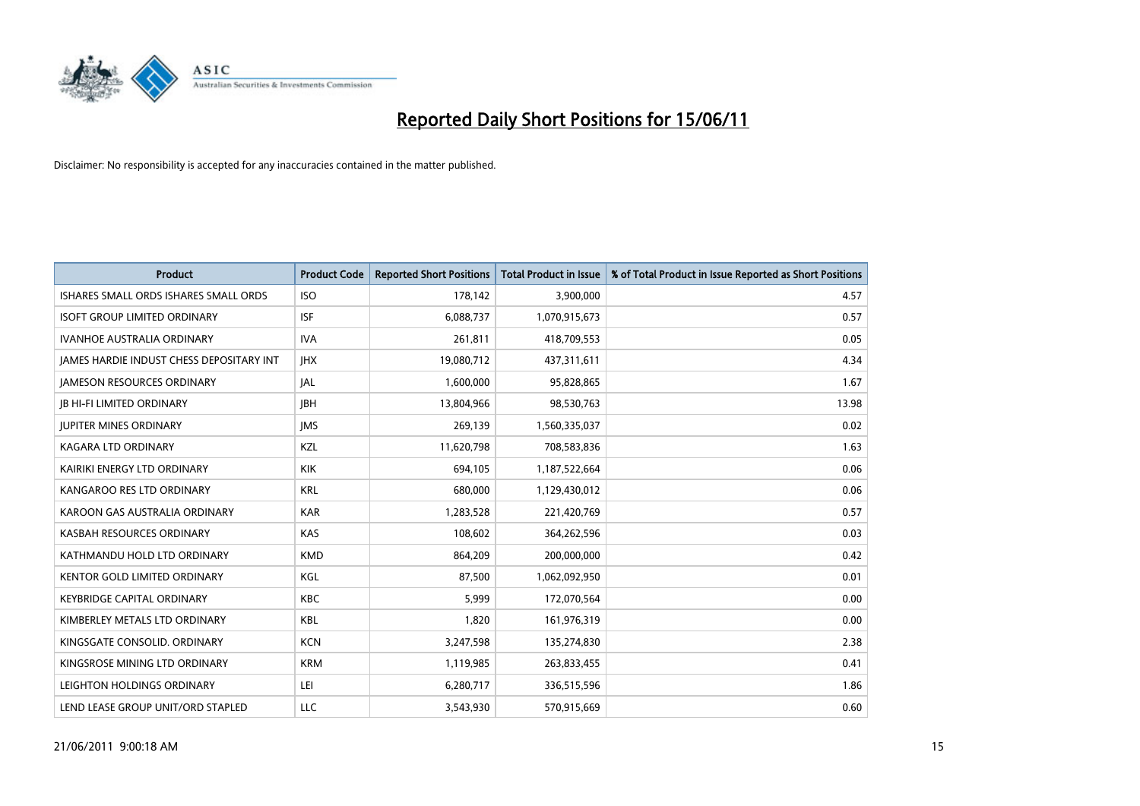

| <b>Product</b>                                  | <b>Product Code</b> | <b>Reported Short Positions</b> | <b>Total Product in Issue</b> | % of Total Product in Issue Reported as Short Positions |
|-------------------------------------------------|---------------------|---------------------------------|-------------------------------|---------------------------------------------------------|
| ISHARES SMALL ORDS ISHARES SMALL ORDS           | <b>ISO</b>          | 178,142                         | 3,900,000                     | 4.57                                                    |
| <b>ISOFT GROUP LIMITED ORDINARY</b>             | <b>ISF</b>          | 6,088,737                       | 1,070,915,673                 | 0.57                                                    |
| <b>IVANHOE AUSTRALIA ORDINARY</b>               | <b>IVA</b>          | 261,811                         | 418,709,553                   | 0.05                                                    |
| <b>JAMES HARDIE INDUST CHESS DEPOSITARY INT</b> | <b>IHX</b>          | 19,080,712                      | 437,311,611                   | 4.34                                                    |
| <b>IAMESON RESOURCES ORDINARY</b>               | <b>JAL</b>          | 1,600,000                       | 95,828,865                    | 1.67                                                    |
| <b>JB HI-FI LIMITED ORDINARY</b>                | <b>IBH</b>          | 13,804,966                      | 98,530,763                    | 13.98                                                   |
| <b>JUPITER MINES ORDINARY</b>                   | <b>IMS</b>          | 269.139                         | 1,560,335,037                 | 0.02                                                    |
| <b>KAGARA LTD ORDINARY</b>                      | KZL                 | 11,620,798                      | 708,583,836                   | 1.63                                                    |
| KAIRIKI ENERGY LTD ORDINARY                     | <b>KIK</b>          | 694,105                         | 1,187,522,664                 | 0.06                                                    |
| KANGAROO RES LTD ORDINARY                       | <b>KRL</b>          | 680,000                         | 1,129,430,012                 | 0.06                                                    |
| KAROON GAS AUSTRALIA ORDINARY                   | <b>KAR</b>          | 1,283,528                       | 221,420,769                   | 0.57                                                    |
| KASBAH RESOURCES ORDINARY                       | <b>KAS</b>          | 108,602                         | 364,262,596                   | 0.03                                                    |
| KATHMANDU HOLD LTD ORDINARY                     | <b>KMD</b>          | 864,209                         | 200,000,000                   | 0.42                                                    |
| KENTOR GOLD LIMITED ORDINARY                    | KGL                 | 87,500                          | 1,062,092,950                 | 0.01                                                    |
| <b>KEYBRIDGE CAPITAL ORDINARY</b>               | <b>KBC</b>          | 5,999                           | 172,070,564                   | 0.00                                                    |
| KIMBERLEY METALS LTD ORDINARY                   | <b>KBL</b>          | 1,820                           | 161,976,319                   | 0.00                                                    |
| KINGSGATE CONSOLID, ORDINARY                    | <b>KCN</b>          | 3,247,598                       | 135,274,830                   | 2.38                                                    |
| KINGSROSE MINING LTD ORDINARY                   | <b>KRM</b>          | 1,119,985                       | 263,833,455                   | 0.41                                                    |
| LEIGHTON HOLDINGS ORDINARY                      | LEI                 | 6,280,717                       | 336,515,596                   | 1.86                                                    |
| LEND LEASE GROUP UNIT/ORD STAPLED               | LLC                 | 3,543,930                       | 570,915,669                   | 0.60                                                    |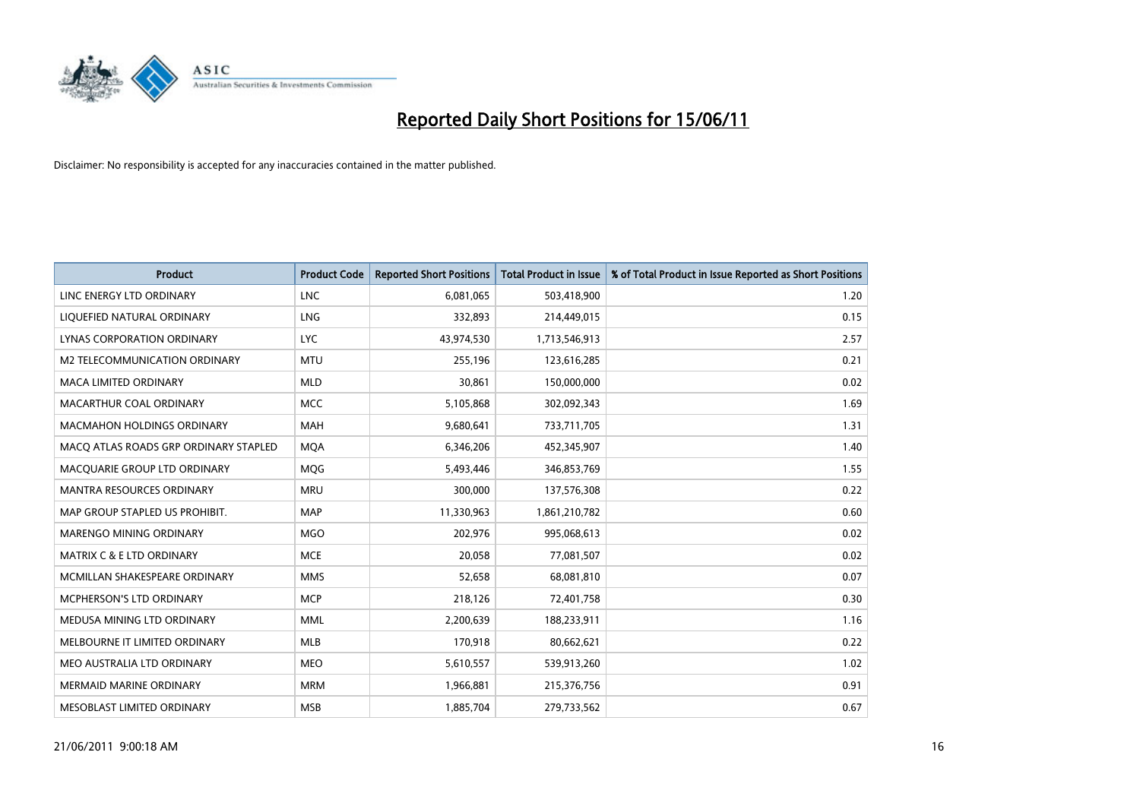

| <b>Product</b>                        | <b>Product Code</b> | <b>Reported Short Positions</b> | Total Product in Issue | % of Total Product in Issue Reported as Short Positions |
|---------------------------------------|---------------------|---------------------------------|------------------------|---------------------------------------------------------|
| LINC ENERGY LTD ORDINARY              | <b>LNC</b>          | 6,081,065                       | 503,418,900            | 1.20                                                    |
| LIQUEFIED NATURAL ORDINARY            | LNG                 | 332,893                         | 214,449,015            | 0.15                                                    |
| LYNAS CORPORATION ORDINARY            | <b>LYC</b>          | 43,974,530                      | 1,713,546,913          | 2.57                                                    |
| M2 TELECOMMUNICATION ORDINARY         | <b>MTU</b>          | 255,196                         | 123,616,285            | 0.21                                                    |
| <b>MACA LIMITED ORDINARY</b>          | <b>MLD</b>          | 30,861                          | 150,000,000            | 0.02                                                    |
| MACARTHUR COAL ORDINARY               | <b>MCC</b>          | 5,105,868                       | 302,092,343            | 1.69                                                    |
| MACMAHON HOLDINGS ORDINARY            | <b>MAH</b>          | 9,680,641                       | 733,711,705            | 1.31                                                    |
| MACO ATLAS ROADS GRP ORDINARY STAPLED | <b>MOA</b>          | 6,346,206                       | 452,345,907            | 1.40                                                    |
| MACQUARIE GROUP LTD ORDINARY          | <b>MOG</b>          | 5,493,446                       | 346,853,769            | 1.55                                                    |
| <b>MANTRA RESOURCES ORDINARY</b>      | <b>MRU</b>          | 300,000                         | 137,576,308            | 0.22                                                    |
| MAP GROUP STAPLED US PROHIBIT.        | <b>MAP</b>          | 11,330,963                      | 1,861,210,782          | 0.60                                                    |
| <b>MARENGO MINING ORDINARY</b>        | <b>MGO</b>          | 202,976                         | 995,068,613            | 0.02                                                    |
| MATRIX C & E LTD ORDINARY             | <b>MCE</b>          | 20,058                          | 77,081,507             | 0.02                                                    |
| MCMILLAN SHAKESPEARE ORDINARY         | <b>MMS</b>          | 52,658                          | 68,081,810             | 0.07                                                    |
| <b>MCPHERSON'S LTD ORDINARY</b>       | <b>MCP</b>          | 218,126                         | 72,401,758             | 0.30                                                    |
| MEDUSA MINING LTD ORDINARY            | <b>MML</b>          | 2,200,639                       | 188,233,911            | 1.16                                                    |
| MELBOURNE IT LIMITED ORDINARY         | MLB                 | 170,918                         | 80,662,621             | 0.22                                                    |
| MEO AUSTRALIA LTD ORDINARY            | <b>MEO</b>          | 5,610,557                       | 539,913,260            | 1.02                                                    |
| <b>MERMAID MARINE ORDINARY</b>        | <b>MRM</b>          | 1,966,881                       | 215,376,756            | 0.91                                                    |
| MESOBLAST LIMITED ORDINARY            | <b>MSB</b>          | 1,885,704                       | 279,733,562            | 0.67                                                    |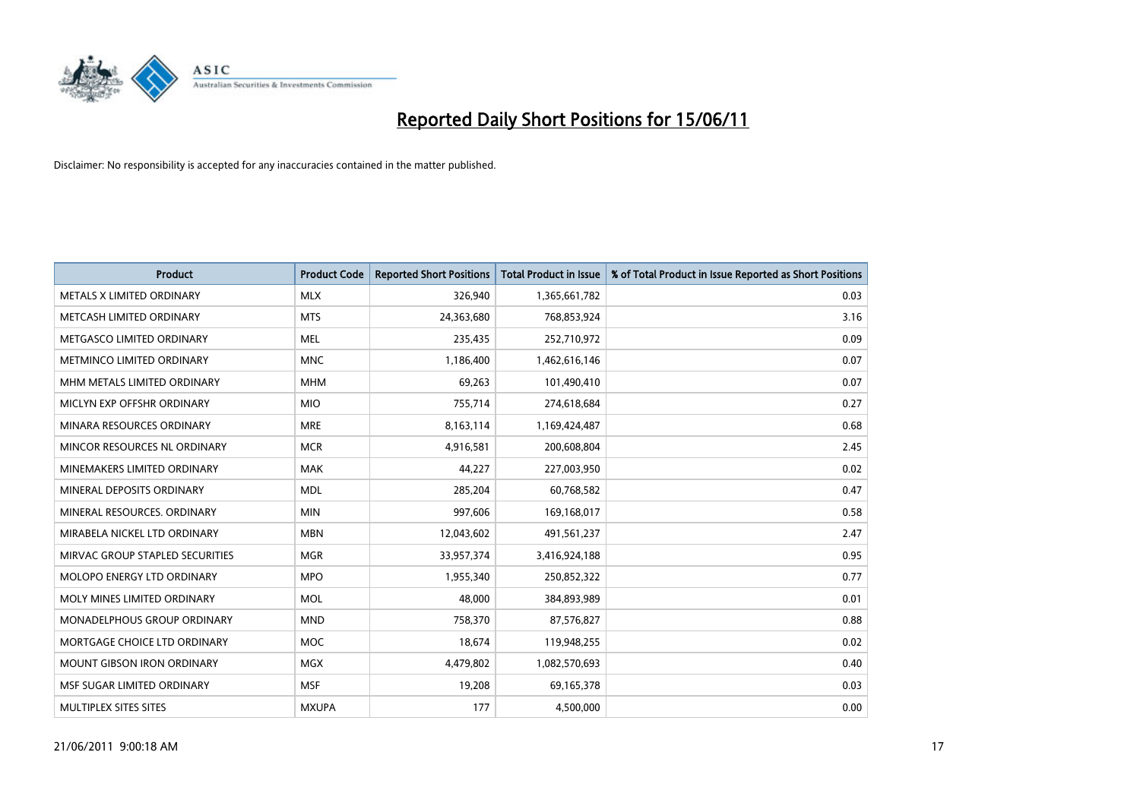

| <b>Product</b>                    | <b>Product Code</b> | <b>Reported Short Positions</b> | Total Product in Issue | % of Total Product in Issue Reported as Short Positions |
|-----------------------------------|---------------------|---------------------------------|------------------------|---------------------------------------------------------|
| METALS X LIMITED ORDINARY         | <b>MLX</b>          | 326,940                         | 1,365,661,782          | 0.03                                                    |
| METCASH LIMITED ORDINARY          | <b>MTS</b>          | 24,363,680                      | 768,853,924            | 3.16                                                    |
| METGASCO LIMITED ORDINARY         | <b>MEL</b>          | 235,435                         | 252,710,972            | 0.09                                                    |
| METMINCO LIMITED ORDINARY         | <b>MNC</b>          | 1,186,400                       | 1,462,616,146          | 0.07                                                    |
| MHM METALS LIMITED ORDINARY       | <b>MHM</b>          | 69,263                          | 101,490,410            | 0.07                                                    |
| MICLYN EXP OFFSHR ORDINARY        | <b>MIO</b>          | 755,714                         | 274,618,684            | 0.27                                                    |
| MINARA RESOURCES ORDINARY         | <b>MRE</b>          | 8,163,114                       | 1,169,424,487          | 0.68                                                    |
| MINCOR RESOURCES NL ORDINARY      | <b>MCR</b>          | 4,916,581                       | 200,608,804            | 2.45                                                    |
| MINEMAKERS LIMITED ORDINARY       | <b>MAK</b>          | 44,227                          | 227,003,950            | 0.02                                                    |
| MINERAL DEPOSITS ORDINARY         | <b>MDL</b>          | 285,204                         | 60,768,582             | 0.47                                                    |
| MINERAL RESOURCES. ORDINARY       | <b>MIN</b>          | 997,606                         | 169,168,017            | 0.58                                                    |
| MIRABELA NICKEL LTD ORDINARY      | <b>MBN</b>          | 12,043,602                      | 491,561,237            | 2.47                                                    |
| MIRVAC GROUP STAPLED SECURITIES   | <b>MGR</b>          | 33,957,374                      | 3,416,924,188          | 0.95                                                    |
| <b>MOLOPO ENERGY LTD ORDINARY</b> | <b>MPO</b>          | 1,955,340                       | 250,852,322            | 0.77                                                    |
| MOLY MINES LIMITED ORDINARY       | <b>MOL</b>          | 48.000                          | 384,893,989            | 0.01                                                    |
| MONADELPHOUS GROUP ORDINARY       | <b>MND</b>          | 758,370                         | 87,576,827             | 0.88                                                    |
| MORTGAGE CHOICE LTD ORDINARY      | MOC                 | 18,674                          | 119,948,255            | 0.02                                                    |
| MOUNT GIBSON IRON ORDINARY        | <b>MGX</b>          | 4,479,802                       | 1,082,570,693          | 0.40                                                    |
| MSF SUGAR LIMITED ORDINARY        | <b>MSF</b>          | 19,208                          | 69,165,378             | 0.03                                                    |
| MULTIPLEX SITES SITES             | <b>MXUPA</b>        | 177                             | 4,500,000              | 0.00                                                    |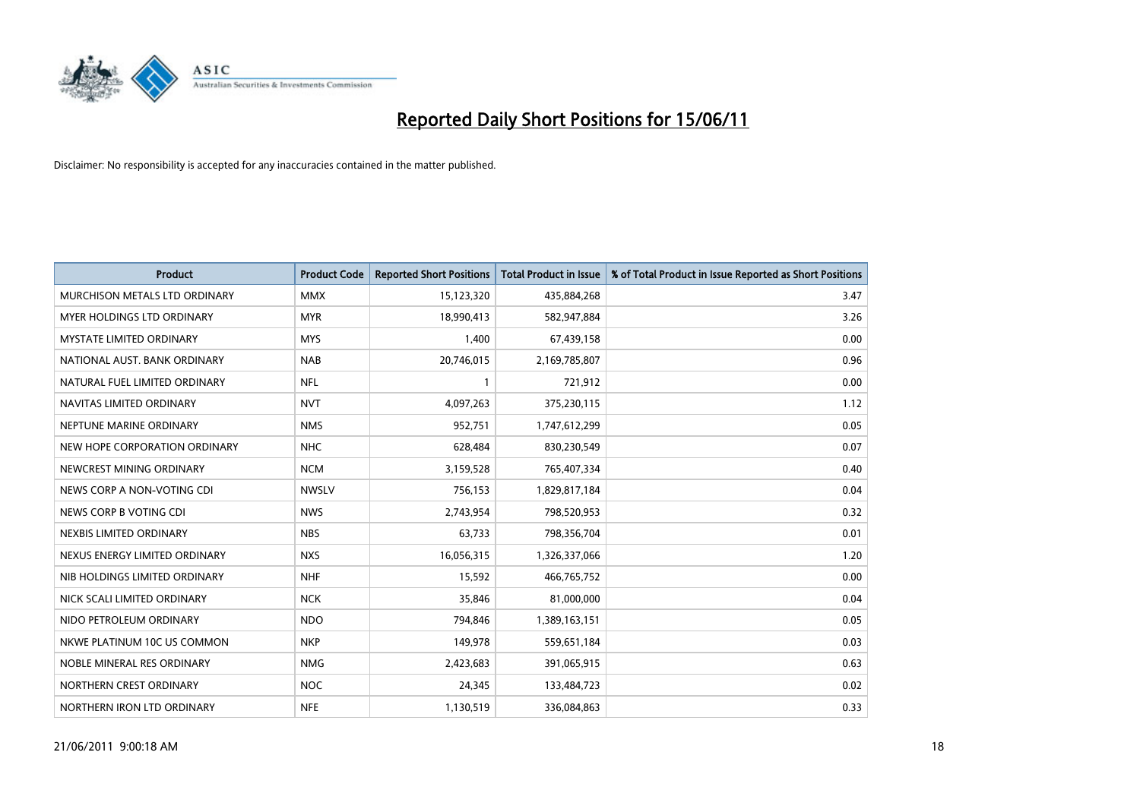

| <b>Product</b>                  | <b>Product Code</b> | <b>Reported Short Positions</b> | <b>Total Product in Issue</b> | % of Total Product in Issue Reported as Short Positions |
|---------------------------------|---------------------|---------------------------------|-------------------------------|---------------------------------------------------------|
| MURCHISON METALS LTD ORDINARY   | <b>MMX</b>          | 15,123,320                      | 435,884,268                   | 3.47                                                    |
| MYER HOLDINGS LTD ORDINARY      | <b>MYR</b>          | 18,990,413                      | 582,947,884                   | 3.26                                                    |
| <b>MYSTATE LIMITED ORDINARY</b> | <b>MYS</b>          | 1,400                           | 67,439,158                    | 0.00                                                    |
| NATIONAL AUST. BANK ORDINARY    | <b>NAB</b>          | 20,746,015                      | 2,169,785,807                 | 0.96                                                    |
| NATURAL FUEL LIMITED ORDINARY   | <b>NFL</b>          |                                 | 721,912                       | 0.00                                                    |
| NAVITAS LIMITED ORDINARY        | <b>NVT</b>          | 4,097,263                       | 375,230,115                   | 1.12                                                    |
| NEPTUNE MARINE ORDINARY         | <b>NMS</b>          | 952,751                         | 1,747,612,299                 | 0.05                                                    |
| NEW HOPE CORPORATION ORDINARY   | <b>NHC</b>          | 628,484                         | 830,230,549                   | 0.07                                                    |
| NEWCREST MINING ORDINARY        | <b>NCM</b>          | 3,159,528                       | 765,407,334                   | 0.40                                                    |
| NEWS CORP A NON-VOTING CDI      | <b>NWSLV</b>        | 756,153                         | 1,829,817,184                 | 0.04                                                    |
| NEWS CORP B VOTING CDI          | <b>NWS</b>          | 2,743,954                       | 798,520,953                   | 0.32                                                    |
| NEXBIS LIMITED ORDINARY         | <b>NBS</b>          | 63,733                          | 798,356,704                   | 0.01                                                    |
| NEXUS ENERGY LIMITED ORDINARY   | <b>NXS</b>          | 16,056,315                      | 1,326,337,066                 | 1.20                                                    |
| NIB HOLDINGS LIMITED ORDINARY   | <b>NHF</b>          | 15,592                          | 466,765,752                   | 0.00                                                    |
| NICK SCALI LIMITED ORDINARY     | <b>NCK</b>          | 35,846                          | 81,000,000                    | 0.04                                                    |
| NIDO PETROLEUM ORDINARY         | <b>NDO</b>          | 794,846                         | 1,389,163,151                 | 0.05                                                    |
| NKWE PLATINUM 10C US COMMON     | <b>NKP</b>          | 149,978                         | 559,651,184                   | 0.03                                                    |
| NOBLE MINERAL RES ORDINARY      | <b>NMG</b>          | 2,423,683                       | 391,065,915                   | 0.63                                                    |
| NORTHERN CREST ORDINARY         | <b>NOC</b>          | 24,345                          | 133,484,723                   | 0.02                                                    |
| NORTHERN IRON LTD ORDINARY      | <b>NFE</b>          | 1,130,519                       | 336,084,863                   | 0.33                                                    |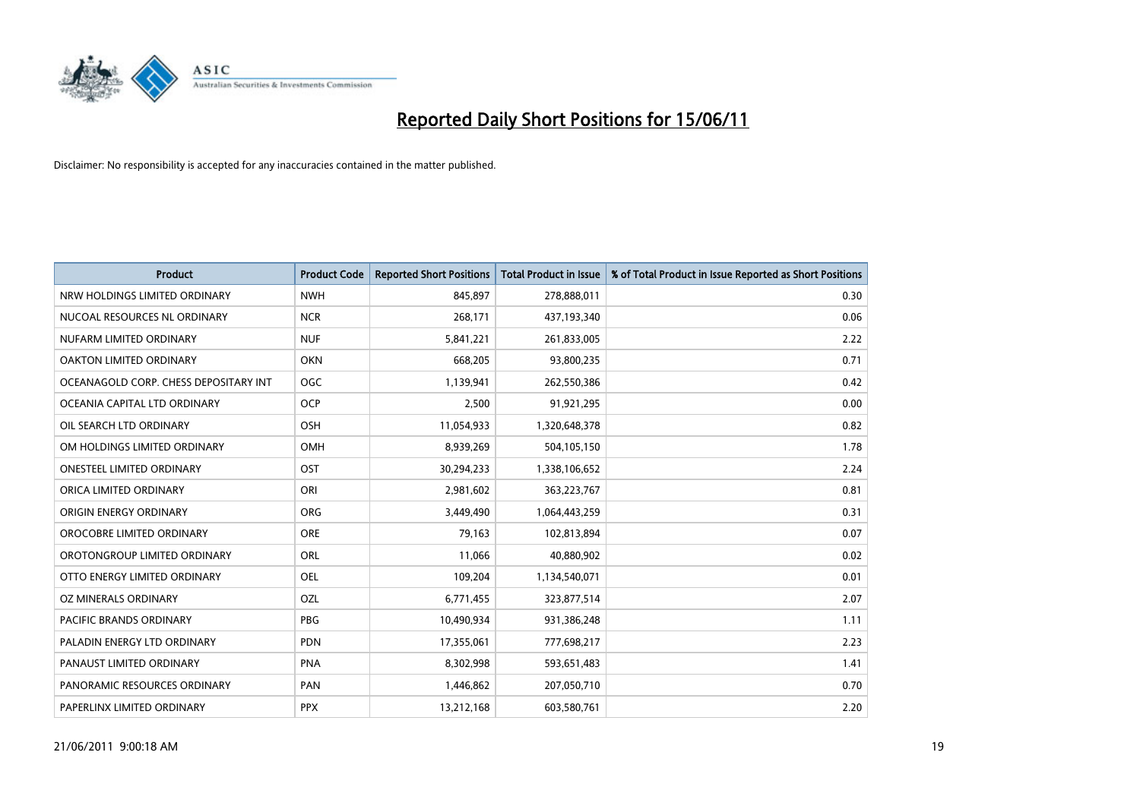

| <b>Product</b>                        | <b>Product Code</b> | <b>Reported Short Positions</b> | <b>Total Product in Issue</b> | % of Total Product in Issue Reported as Short Positions |
|---------------------------------------|---------------------|---------------------------------|-------------------------------|---------------------------------------------------------|
| NRW HOLDINGS LIMITED ORDINARY         | <b>NWH</b>          | 845,897                         | 278,888,011                   | 0.30                                                    |
| NUCOAL RESOURCES NL ORDINARY          | <b>NCR</b>          | 268,171                         | 437,193,340                   | 0.06                                                    |
| NUFARM LIMITED ORDINARY               | <b>NUF</b>          | 5,841,221                       | 261,833,005                   | 2.22                                                    |
| OAKTON LIMITED ORDINARY               | OKN                 | 668,205                         | 93,800,235                    | 0.71                                                    |
| OCEANAGOLD CORP. CHESS DEPOSITARY INT | <b>OGC</b>          | 1,139,941                       | 262,550,386                   | 0.42                                                    |
| OCEANIA CAPITAL LTD ORDINARY          | <b>OCP</b>          | 2,500                           | 91,921,295                    | 0.00                                                    |
| OIL SEARCH LTD ORDINARY               | OSH                 | 11,054,933                      | 1,320,648,378                 | 0.82                                                    |
| OM HOLDINGS LIMITED ORDINARY          | <b>OMH</b>          | 8,939,269                       | 504,105,150                   | 1.78                                                    |
| <b>ONESTEEL LIMITED ORDINARY</b>      | OST                 | 30,294,233                      | 1,338,106,652                 | 2.24                                                    |
| ORICA LIMITED ORDINARY                | ORI                 | 2,981,602                       | 363,223,767                   | 0.81                                                    |
| ORIGIN ENERGY ORDINARY                | ORG                 | 3,449,490                       | 1,064,443,259                 | 0.31                                                    |
| OROCOBRE LIMITED ORDINARY             | <b>ORE</b>          | 79,163                          | 102,813,894                   | 0.07                                                    |
| OROTONGROUP LIMITED ORDINARY          | <b>ORL</b>          | 11,066                          | 40,880,902                    | 0.02                                                    |
| OTTO ENERGY LIMITED ORDINARY          | OEL                 | 109,204                         | 1,134,540,071                 | 0.01                                                    |
| OZ MINERALS ORDINARY                  | OZL                 | 6,771,455                       | 323,877,514                   | 2.07                                                    |
| PACIFIC BRANDS ORDINARY               | <b>PBG</b>          | 10,490,934                      | 931,386,248                   | 1.11                                                    |
| PALADIN ENERGY LTD ORDINARY           | PDN                 | 17,355,061                      | 777,698,217                   | 2.23                                                    |
| PANAUST LIMITED ORDINARY              | <b>PNA</b>          | 8,302,998                       | 593,651,483                   | 1.41                                                    |
| PANORAMIC RESOURCES ORDINARY          | PAN                 | 1,446,862                       | 207,050,710                   | 0.70                                                    |
| PAPERLINX LIMITED ORDINARY            | <b>PPX</b>          | 13,212,168                      | 603,580,761                   | 2.20                                                    |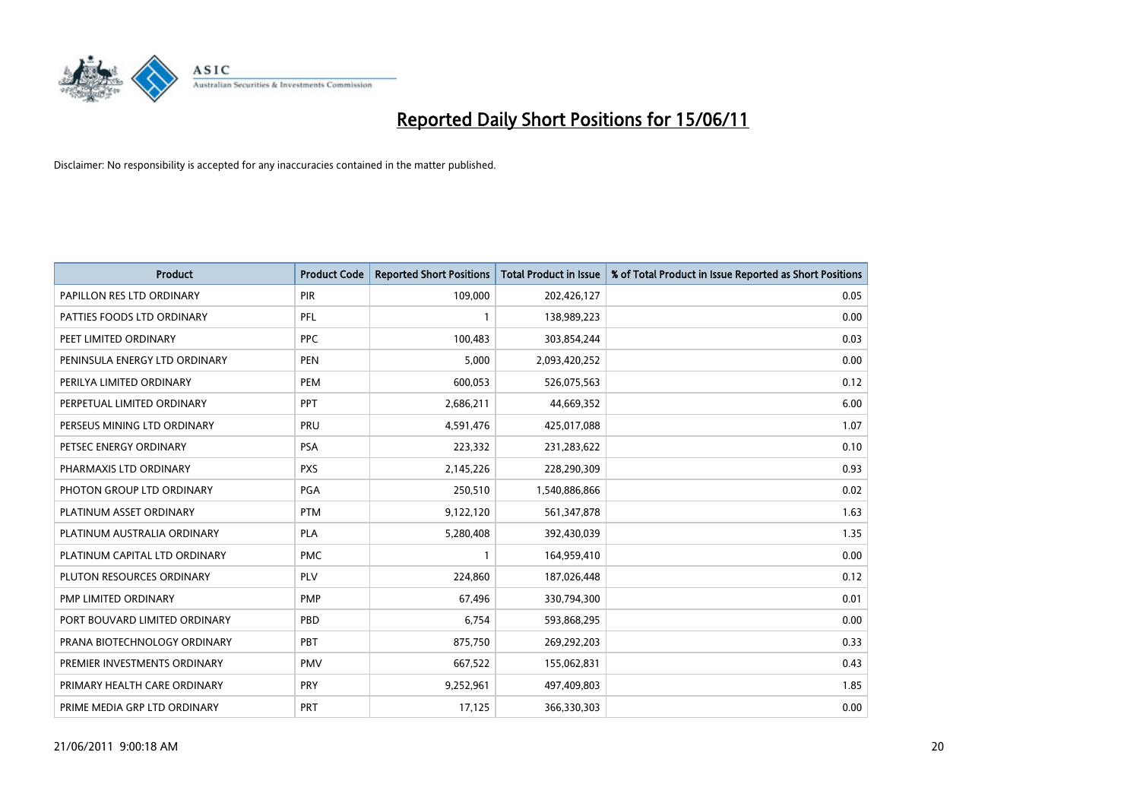

| <b>Product</b>                | <b>Product Code</b> | <b>Reported Short Positions</b> | Total Product in Issue | % of Total Product in Issue Reported as Short Positions |
|-------------------------------|---------------------|---------------------------------|------------------------|---------------------------------------------------------|
| PAPILLON RES LTD ORDINARY     | PIR                 | 109,000                         | 202,426,127            | 0.05                                                    |
| PATTIES FOODS LTD ORDINARY    | PFL                 |                                 | 138,989,223            | 0.00                                                    |
| PEET LIMITED ORDINARY         | <b>PPC</b>          | 100,483                         | 303,854,244            | 0.03                                                    |
| PENINSULA ENERGY LTD ORDINARY | <b>PEN</b>          | 5,000                           | 2,093,420,252          | 0.00                                                    |
| PERILYA LIMITED ORDINARY      | PEM                 | 600,053                         | 526,075,563            | 0.12                                                    |
| PERPETUAL LIMITED ORDINARY    | PPT                 | 2,686,211                       | 44,669,352             | 6.00                                                    |
| PERSEUS MINING LTD ORDINARY   | PRU                 | 4,591,476                       | 425,017,088            | 1.07                                                    |
| PETSEC ENERGY ORDINARY        | <b>PSA</b>          | 223,332                         | 231,283,622            | 0.10                                                    |
| PHARMAXIS LTD ORDINARY        | <b>PXS</b>          | 2,145,226                       | 228,290,309            | 0.93                                                    |
| PHOTON GROUP LTD ORDINARY     | <b>PGA</b>          | 250,510                         | 1,540,886,866          | 0.02                                                    |
| PLATINUM ASSET ORDINARY       | <b>PTM</b>          | 9,122,120                       | 561,347,878            | 1.63                                                    |
| PLATINUM AUSTRALIA ORDINARY   | <b>PLA</b>          | 5,280,408                       | 392,430,039            | 1.35                                                    |
| PLATINUM CAPITAL LTD ORDINARY | <b>PMC</b>          |                                 | 164,959,410            | 0.00                                                    |
| PLUTON RESOURCES ORDINARY     | <b>PLV</b>          | 224,860                         | 187,026,448            | 0.12                                                    |
| PMP LIMITED ORDINARY          | <b>PMP</b>          | 67,496                          | 330,794,300            | 0.01                                                    |
| PORT BOUVARD LIMITED ORDINARY | PBD                 | 6,754                           | 593,868,295            | 0.00                                                    |
| PRANA BIOTECHNOLOGY ORDINARY  | PBT                 | 875,750                         | 269,292,203            | 0.33                                                    |
| PREMIER INVESTMENTS ORDINARY  | <b>PMV</b>          | 667,522                         | 155,062,831            | 0.43                                                    |
| PRIMARY HEALTH CARE ORDINARY  | <b>PRY</b>          | 9,252,961                       | 497,409,803            | 1.85                                                    |
| PRIME MEDIA GRP LTD ORDINARY  | PRT                 | 17,125                          | 366,330,303            | 0.00                                                    |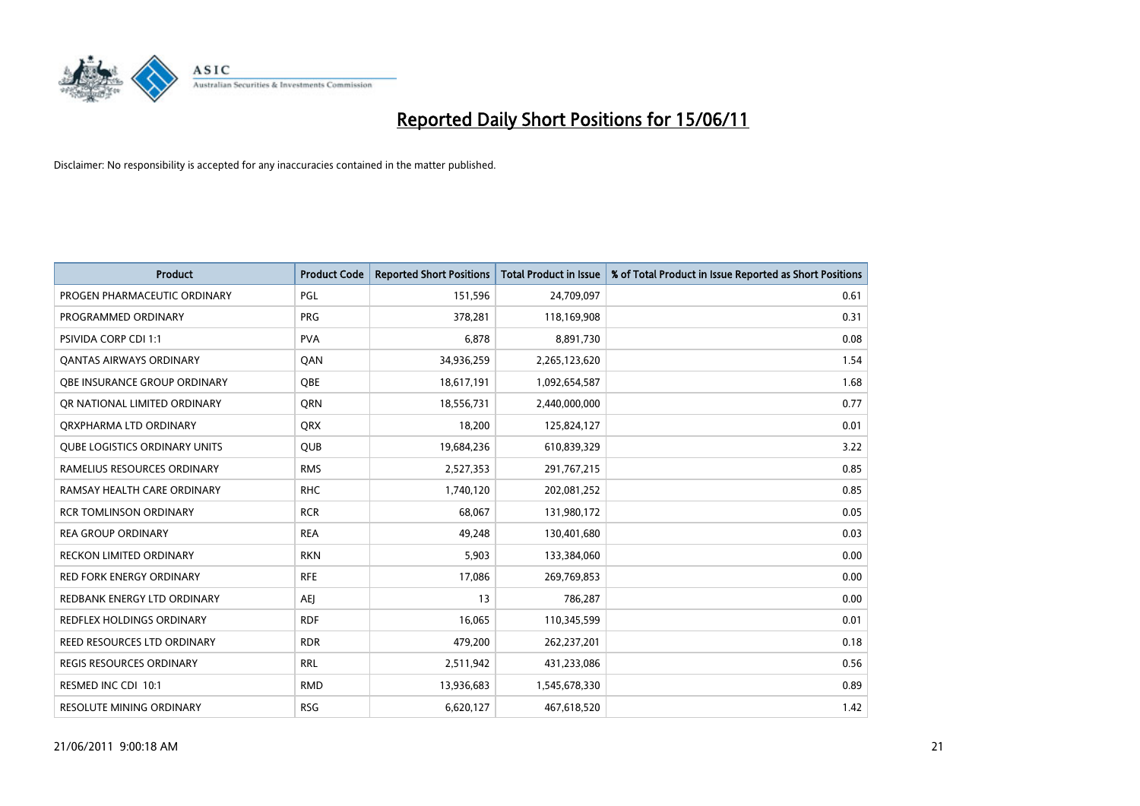

| <b>Product</b>                       | <b>Product Code</b> | <b>Reported Short Positions</b> | Total Product in Issue | % of Total Product in Issue Reported as Short Positions |
|--------------------------------------|---------------------|---------------------------------|------------------------|---------------------------------------------------------|
| PROGEN PHARMACEUTIC ORDINARY         | PGL                 | 151,596                         | 24,709,097             | 0.61                                                    |
| PROGRAMMED ORDINARY                  | <b>PRG</b>          | 378,281                         | 118,169,908            | 0.31                                                    |
| <b>PSIVIDA CORP CDI 1:1</b>          | <b>PVA</b>          | 6,878                           | 8,891,730              | 0.08                                                    |
| <b>QANTAS AIRWAYS ORDINARY</b>       | QAN                 | 34,936,259                      | 2,265,123,620          | 1.54                                                    |
| <b>QBE INSURANCE GROUP ORDINARY</b>  | <b>OBE</b>          | 18,617,191                      | 1,092,654,587          | 1.68                                                    |
| OR NATIONAL LIMITED ORDINARY         | <b>ORN</b>          | 18,556,731                      | 2,440,000,000          | 0.77                                                    |
| ORXPHARMA LTD ORDINARY               | <b>ORX</b>          | 18,200                          | 125,824,127            | 0.01                                                    |
| <b>QUBE LOGISTICS ORDINARY UNITS</b> | <b>QUB</b>          | 19,684,236                      | 610,839,329            | 3.22                                                    |
| RAMELIUS RESOURCES ORDINARY          | <b>RMS</b>          | 2,527,353                       | 291,767,215            | 0.85                                                    |
| RAMSAY HEALTH CARE ORDINARY          | <b>RHC</b>          | 1,740,120                       | 202,081,252            | 0.85                                                    |
| <b>RCR TOMLINSON ORDINARY</b>        | <b>RCR</b>          | 68,067                          | 131,980,172            | 0.05                                                    |
| <b>REA GROUP ORDINARY</b>            | <b>REA</b>          | 49,248                          | 130,401,680            | 0.03                                                    |
| RECKON LIMITED ORDINARY              | <b>RKN</b>          | 5,903                           | 133,384,060            | 0.00                                                    |
| <b>RED FORK ENERGY ORDINARY</b>      | <b>RFE</b>          | 17,086                          | 269,769,853            | 0.00                                                    |
| REDBANK ENERGY LTD ORDINARY          | <b>AEI</b>          | 13                              | 786,287                | 0.00                                                    |
| REDFLEX HOLDINGS ORDINARY            | <b>RDF</b>          | 16,065                          | 110,345,599            | 0.01                                                    |
| REED RESOURCES LTD ORDINARY          | <b>RDR</b>          | 479,200                         | 262,237,201            | 0.18                                                    |
| REGIS RESOURCES ORDINARY             | <b>RRL</b>          | 2,511,942                       | 431,233,086            | 0.56                                                    |
| RESMED INC CDI 10:1                  | <b>RMD</b>          | 13,936,683                      | 1,545,678,330          | 0.89                                                    |
| RESOLUTE MINING ORDINARY             | <b>RSG</b>          | 6,620,127                       | 467,618,520            | 1.42                                                    |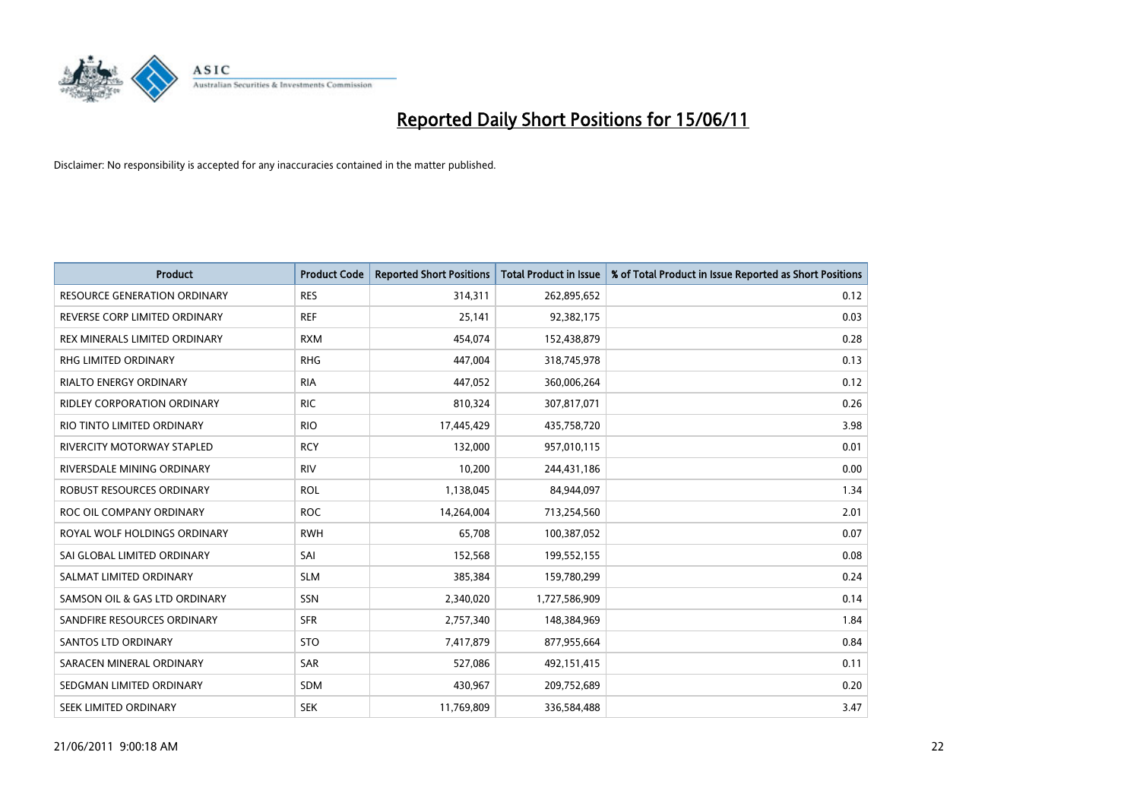

| <b>Product</b>                      | <b>Product Code</b> | <b>Reported Short Positions</b> | <b>Total Product in Issue</b> | % of Total Product in Issue Reported as Short Positions |
|-------------------------------------|---------------------|---------------------------------|-------------------------------|---------------------------------------------------------|
| <b>RESOURCE GENERATION ORDINARY</b> | <b>RES</b>          | 314,311                         | 262,895,652                   | 0.12                                                    |
| REVERSE CORP LIMITED ORDINARY       | <b>REF</b>          | 25,141                          | 92,382,175                    | 0.03                                                    |
| REX MINERALS LIMITED ORDINARY       | <b>RXM</b>          | 454,074                         | 152,438,879                   | 0.28                                                    |
| RHG LIMITED ORDINARY                | <b>RHG</b>          | 447,004                         | 318,745,978                   | 0.13                                                    |
| <b>RIALTO ENERGY ORDINARY</b>       | <b>RIA</b>          | 447,052                         | 360,006,264                   | 0.12                                                    |
| <b>RIDLEY CORPORATION ORDINARY</b>  | <b>RIC</b>          | 810,324                         | 307,817,071                   | 0.26                                                    |
| RIO TINTO LIMITED ORDINARY          | <b>RIO</b>          | 17,445,429                      | 435,758,720                   | 3.98                                                    |
| RIVERCITY MOTORWAY STAPLED          | <b>RCY</b>          | 132.000                         | 957,010,115                   | 0.01                                                    |
| RIVERSDALE MINING ORDINARY          | <b>RIV</b>          | 10,200                          | 244,431,186                   | 0.00                                                    |
| ROBUST RESOURCES ORDINARY           | <b>ROL</b>          | 1,138,045                       | 84,944,097                    | 1.34                                                    |
| ROC OIL COMPANY ORDINARY            | <b>ROC</b>          | 14,264,004                      | 713,254,560                   | 2.01                                                    |
| ROYAL WOLF HOLDINGS ORDINARY        | <b>RWH</b>          | 65,708                          | 100,387,052                   | 0.07                                                    |
| SAI GLOBAL LIMITED ORDINARY         | SAI                 | 152,568                         | 199,552,155                   | 0.08                                                    |
| SALMAT LIMITED ORDINARY             | <b>SLM</b>          | 385,384                         | 159,780,299                   | 0.24                                                    |
| SAMSON OIL & GAS LTD ORDINARY       | SSN                 | 2,340,020                       | 1,727,586,909                 | 0.14                                                    |
| SANDFIRE RESOURCES ORDINARY         | <b>SFR</b>          | 2,757,340                       | 148,384,969                   | 1.84                                                    |
| SANTOS LTD ORDINARY                 | <b>STO</b>          | 7,417,879                       | 877,955,664                   | 0.84                                                    |
| SARACEN MINERAL ORDINARY            | <b>SAR</b>          | 527,086                         | 492,151,415                   | 0.11                                                    |
| SEDGMAN LIMITED ORDINARY            | <b>SDM</b>          | 430,967                         | 209,752,689                   | 0.20                                                    |
| SEEK LIMITED ORDINARY               | <b>SEK</b>          | 11,769,809                      | 336,584,488                   | 3.47                                                    |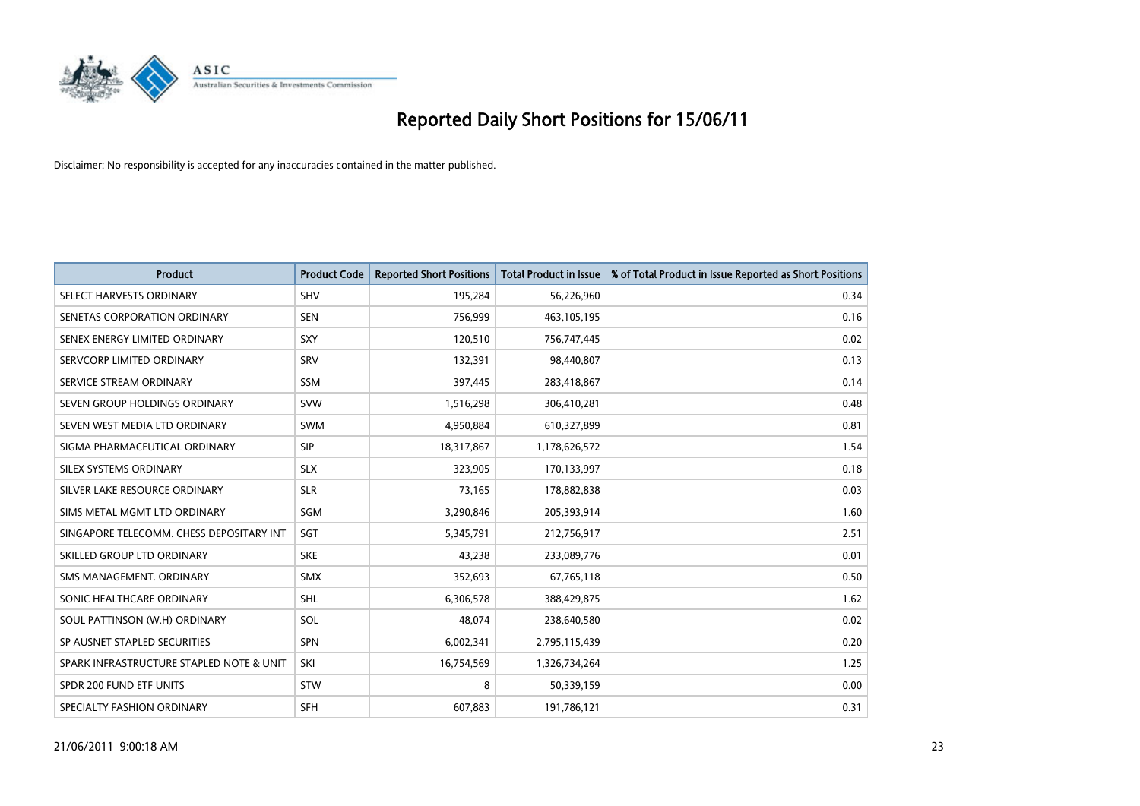

| <b>Product</b>                           | <b>Product Code</b> | <b>Reported Short Positions</b> | Total Product in Issue | % of Total Product in Issue Reported as Short Positions |
|------------------------------------------|---------------------|---------------------------------|------------------------|---------------------------------------------------------|
| SELECT HARVESTS ORDINARY                 | <b>SHV</b>          | 195,284                         | 56,226,960             | 0.34                                                    |
| SENETAS CORPORATION ORDINARY             | <b>SEN</b>          | 756,999                         | 463,105,195            | 0.16                                                    |
| SENEX ENERGY LIMITED ORDINARY            | SXY                 | 120,510                         | 756,747,445            | 0.02                                                    |
| SERVCORP LIMITED ORDINARY                | SRV                 | 132,391                         | 98,440,807             | 0.13                                                    |
| SERVICE STREAM ORDINARY                  | <b>SSM</b>          | 397,445                         | 283,418,867            | 0.14                                                    |
| SEVEN GROUP HOLDINGS ORDINARY            | <b>SVW</b>          | 1,516,298                       | 306,410,281            | 0.48                                                    |
| SEVEN WEST MEDIA LTD ORDINARY            | <b>SWM</b>          | 4,950,884                       | 610,327,899            | 0.81                                                    |
| SIGMA PHARMACEUTICAL ORDINARY            | SIP                 | 18,317,867                      | 1,178,626,572          | 1.54                                                    |
| SILEX SYSTEMS ORDINARY                   | <b>SLX</b>          | 323,905                         | 170,133,997            | 0.18                                                    |
| SILVER LAKE RESOURCE ORDINARY            | <b>SLR</b>          | 73,165                          | 178,882,838            | 0.03                                                    |
| SIMS METAL MGMT LTD ORDINARY             | SGM                 | 3,290,846                       | 205,393,914            | 1.60                                                    |
| SINGAPORE TELECOMM. CHESS DEPOSITARY INT | SGT                 | 5,345,791                       | 212,756,917            | 2.51                                                    |
| SKILLED GROUP LTD ORDINARY               | <b>SKE</b>          | 43,238                          | 233,089,776            | 0.01                                                    |
| SMS MANAGEMENT, ORDINARY                 | <b>SMX</b>          | 352,693                         | 67,765,118             | 0.50                                                    |
| SONIC HEALTHCARE ORDINARY                | <b>SHL</b>          | 6,306,578                       | 388,429,875            | 1.62                                                    |
| SOUL PATTINSON (W.H) ORDINARY            | SOL                 | 48,074                          | 238,640,580            | 0.02                                                    |
| SP AUSNET STAPLED SECURITIES             | <b>SPN</b>          | 6,002,341                       | 2,795,115,439          | 0.20                                                    |
| SPARK INFRASTRUCTURE STAPLED NOTE & UNIT | SKI                 | 16,754,569                      | 1,326,734,264          | 1.25                                                    |
| SPDR 200 FUND ETF UNITS                  | <b>STW</b>          | 8                               | 50,339,159             | 0.00                                                    |
| SPECIALTY FASHION ORDINARY               | <b>SFH</b>          | 607,883                         | 191,786,121            | 0.31                                                    |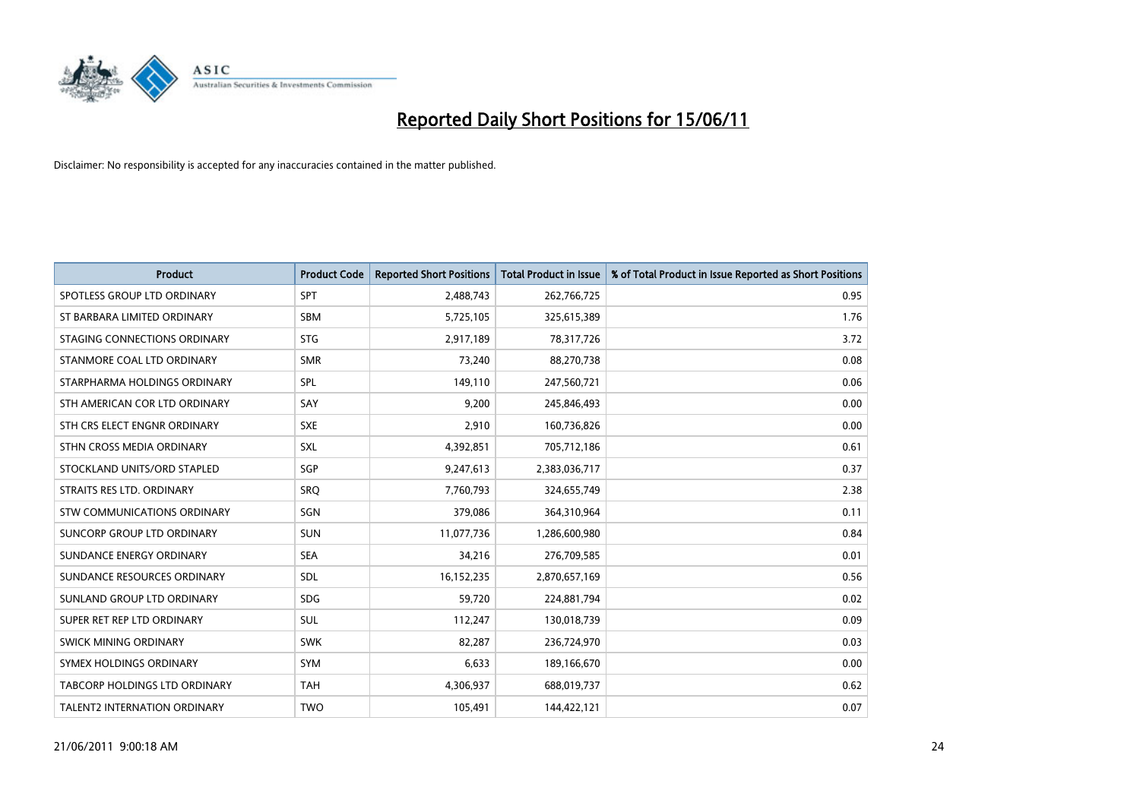

| <b>Product</b>                | <b>Product Code</b> | <b>Reported Short Positions</b> | <b>Total Product in Issue</b> | % of Total Product in Issue Reported as Short Positions |
|-------------------------------|---------------------|---------------------------------|-------------------------------|---------------------------------------------------------|
| SPOTLESS GROUP LTD ORDINARY   | SPT                 | 2,488,743                       | 262,766,725                   | 0.95                                                    |
| ST BARBARA LIMITED ORDINARY   | <b>SBM</b>          | 5,725,105                       | 325,615,389                   | 1.76                                                    |
| STAGING CONNECTIONS ORDINARY  | <b>STG</b>          | 2,917,189                       | 78,317,726                    | 3.72                                                    |
| STANMORE COAL LTD ORDINARY    | <b>SMR</b>          | 73,240                          | 88,270,738                    | 0.08                                                    |
| STARPHARMA HOLDINGS ORDINARY  | SPL                 | 149,110                         | 247,560,721                   | 0.06                                                    |
| STH AMERICAN COR LTD ORDINARY | SAY                 | 9,200                           | 245,846,493                   | 0.00                                                    |
| STH CRS ELECT ENGNR ORDINARY  | <b>SXE</b>          | 2,910                           | 160,736,826                   | 0.00                                                    |
| STHN CROSS MEDIA ORDINARY     | SXL                 | 4,392,851                       | 705,712,186                   | 0.61                                                    |
| STOCKLAND UNITS/ORD STAPLED   | SGP                 | 9,247,613                       | 2,383,036,717                 | 0.37                                                    |
| STRAITS RES LTD. ORDINARY     | SRO                 | 7,760,793                       | 324,655,749                   | 2.38                                                    |
| STW COMMUNICATIONS ORDINARY   | SGN                 | 379,086                         | 364,310,964                   | 0.11                                                    |
| SUNCORP GROUP LTD ORDINARY    | <b>SUN</b>          | 11,077,736                      | 1,286,600,980                 | 0.84                                                    |
| SUNDANCE ENERGY ORDINARY      | <b>SEA</b>          | 34,216                          | 276,709,585                   | 0.01                                                    |
| SUNDANCE RESOURCES ORDINARY   | <b>SDL</b>          | 16,152,235                      | 2,870,657,169                 | 0.56                                                    |
| SUNLAND GROUP LTD ORDINARY    | <b>SDG</b>          | 59,720                          | 224,881,794                   | 0.02                                                    |
| SUPER RET REP LTD ORDINARY    | <b>SUL</b>          | 112,247                         | 130,018,739                   | 0.09                                                    |
| SWICK MINING ORDINARY         | <b>SWK</b>          | 82,287                          | 236,724,970                   | 0.03                                                    |
| SYMEX HOLDINGS ORDINARY       | SYM                 | 6,633                           | 189,166,670                   | 0.00                                                    |
| TABCORP HOLDINGS LTD ORDINARY | <b>TAH</b>          | 4,306,937                       | 688,019,737                   | 0.62                                                    |
| TALENT2 INTERNATION ORDINARY  | <b>TWO</b>          | 105,491                         | 144,422,121                   | 0.07                                                    |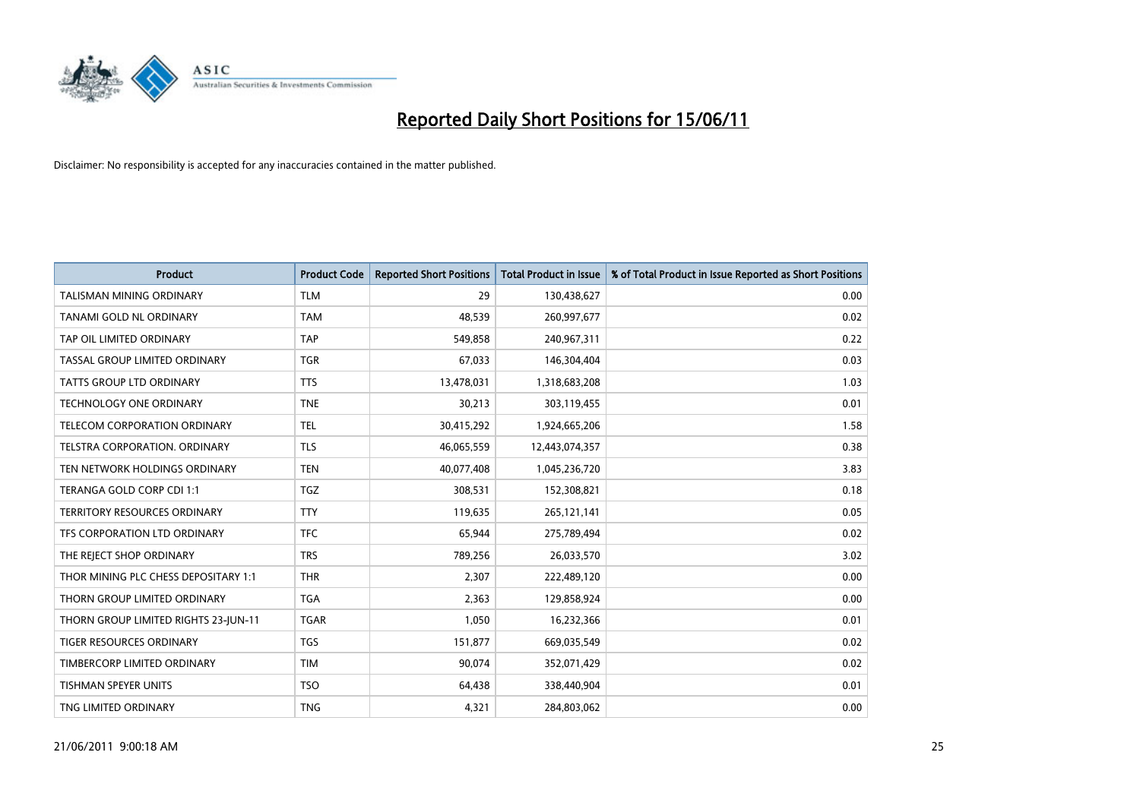

| <b>Product</b>                       | <b>Product Code</b> | <b>Reported Short Positions</b> | Total Product in Issue | % of Total Product in Issue Reported as Short Positions |
|--------------------------------------|---------------------|---------------------------------|------------------------|---------------------------------------------------------|
| <b>TALISMAN MINING ORDINARY</b>      | <b>TLM</b>          | 29                              | 130,438,627            | 0.00                                                    |
| TANAMI GOLD NL ORDINARY              | <b>TAM</b>          | 48,539                          | 260,997,677            | 0.02                                                    |
| TAP OIL LIMITED ORDINARY             | <b>TAP</b>          | 549,858                         | 240,967,311            | 0.22                                                    |
| TASSAL GROUP LIMITED ORDINARY        | <b>TGR</b>          | 67,033                          | 146,304,404            | 0.03                                                    |
| <b>TATTS GROUP LTD ORDINARY</b>      | <b>TTS</b>          | 13,478,031                      | 1,318,683,208          | 1.03                                                    |
| <b>TECHNOLOGY ONE ORDINARY</b>       | <b>TNE</b>          | 30,213                          | 303,119,455            | 0.01                                                    |
| TELECOM CORPORATION ORDINARY         | <b>TEL</b>          | 30,415,292                      | 1,924,665,206          | 1.58                                                    |
| TELSTRA CORPORATION. ORDINARY        | <b>TLS</b>          | 46,065,559                      | 12,443,074,357         | 0.38                                                    |
| TEN NETWORK HOLDINGS ORDINARY        | <b>TEN</b>          | 40,077,408                      | 1,045,236,720          | 3.83                                                    |
| TERANGA GOLD CORP CDI 1:1            | <b>TGZ</b>          | 308,531                         | 152,308,821            | 0.18                                                    |
| <b>TERRITORY RESOURCES ORDINARY</b>  | <b>TTY</b>          | 119,635                         | 265,121,141            | 0.05                                                    |
| TFS CORPORATION LTD ORDINARY         | <b>TFC</b>          | 65,944                          | 275,789,494            | 0.02                                                    |
| THE REJECT SHOP ORDINARY             | <b>TRS</b>          | 789,256                         | 26,033,570             | 3.02                                                    |
| THOR MINING PLC CHESS DEPOSITARY 1:1 | <b>THR</b>          | 2,307                           | 222,489,120            | 0.00                                                    |
| THORN GROUP LIMITED ORDINARY         | <b>TGA</b>          | 2,363                           | 129,858,924            | 0.00                                                    |
| THORN GROUP LIMITED RIGHTS 23-JUN-11 | <b>TGAR</b>         | 1,050                           | 16,232,366             | 0.01                                                    |
| <b>TIGER RESOURCES ORDINARY</b>      | <b>TGS</b>          | 151,877                         | 669,035,549            | 0.02                                                    |
| TIMBERCORP LIMITED ORDINARY          | <b>TIM</b>          | 90,074                          | 352,071,429            | 0.02                                                    |
| <b>TISHMAN SPEYER UNITS</b>          | <b>TSO</b>          | 64,438                          | 338,440,904            | 0.01                                                    |
| TNG LIMITED ORDINARY                 | <b>TNG</b>          | 4,321                           | 284,803,062            | 0.00                                                    |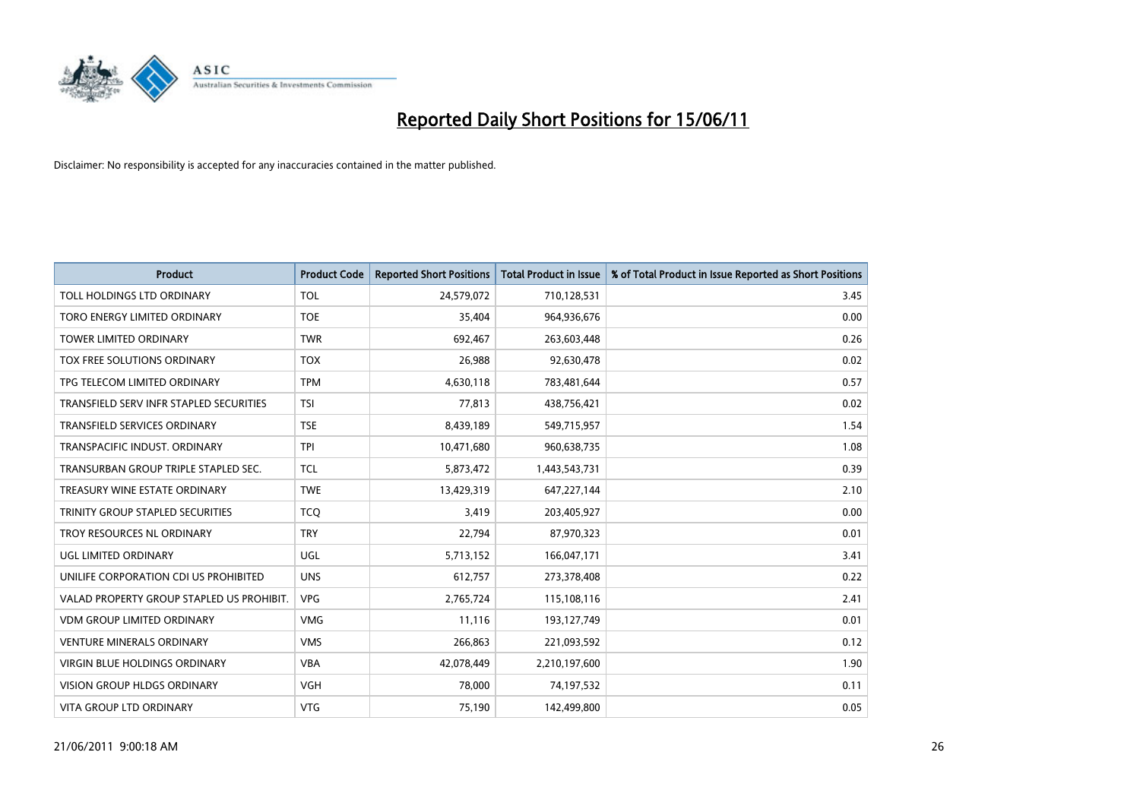

| <b>Product</b>                            | <b>Product Code</b> | <b>Reported Short Positions</b> | <b>Total Product in Issue</b> | % of Total Product in Issue Reported as Short Positions |
|-------------------------------------------|---------------------|---------------------------------|-------------------------------|---------------------------------------------------------|
| TOLL HOLDINGS LTD ORDINARY                | <b>TOL</b>          | 24,579,072                      | 710,128,531                   | 3.45                                                    |
| TORO ENERGY LIMITED ORDINARY              | <b>TOE</b>          | 35,404                          | 964,936,676                   | 0.00                                                    |
| TOWER LIMITED ORDINARY                    | <b>TWR</b>          | 692,467                         | 263,603,448                   | 0.26                                                    |
| TOX FREE SOLUTIONS ORDINARY               | <b>TOX</b>          | 26,988                          | 92,630,478                    | 0.02                                                    |
| TPG TELECOM LIMITED ORDINARY              | <b>TPM</b>          | 4,630,118                       | 783,481,644                   | 0.57                                                    |
| TRANSFIELD SERV INFR STAPLED SECURITIES   | <b>TSI</b>          | 77,813                          | 438,756,421                   | 0.02                                                    |
| TRANSFIELD SERVICES ORDINARY              | <b>TSE</b>          | 8,439,189                       | 549,715,957                   | 1.54                                                    |
| TRANSPACIFIC INDUST. ORDINARY             | <b>TPI</b>          | 10,471,680                      | 960,638,735                   | 1.08                                                    |
| TRANSURBAN GROUP TRIPLE STAPLED SEC.      | <b>TCL</b>          | 5,873,472                       | 1,443,543,731                 | 0.39                                                    |
| TREASURY WINE ESTATE ORDINARY             | <b>TWE</b>          | 13,429,319                      | 647,227,144                   | 2.10                                                    |
| TRINITY GROUP STAPLED SECURITIES          | <b>TCQ</b>          | 3,419                           | 203,405,927                   | 0.00                                                    |
| TROY RESOURCES NL ORDINARY                | <b>TRY</b>          | 22,794                          | 87,970,323                    | 0.01                                                    |
| UGL LIMITED ORDINARY                      | UGL                 | 5,713,152                       | 166,047,171                   | 3.41                                                    |
| UNILIFE CORPORATION CDI US PROHIBITED     | <b>UNS</b>          | 612,757                         | 273,378,408                   | 0.22                                                    |
| VALAD PROPERTY GROUP STAPLED US PROHIBIT. | <b>VPG</b>          | 2,765,724                       | 115,108,116                   | 2.41                                                    |
| <b>VDM GROUP LIMITED ORDINARY</b>         | <b>VMG</b>          | 11,116                          | 193,127,749                   | 0.01                                                    |
| <b>VENTURE MINERALS ORDINARY</b>          | <b>VMS</b>          | 266,863                         | 221,093,592                   | 0.12                                                    |
| <b>VIRGIN BLUE HOLDINGS ORDINARY</b>      | <b>VBA</b>          | 42,078,449                      | 2,210,197,600                 | 1.90                                                    |
| <b>VISION GROUP HLDGS ORDINARY</b>        | <b>VGH</b>          | 78,000                          | 74,197,532                    | 0.11                                                    |
| <b>VITA GROUP LTD ORDINARY</b>            | <b>VTG</b>          | 75,190                          | 142,499,800                   | 0.05                                                    |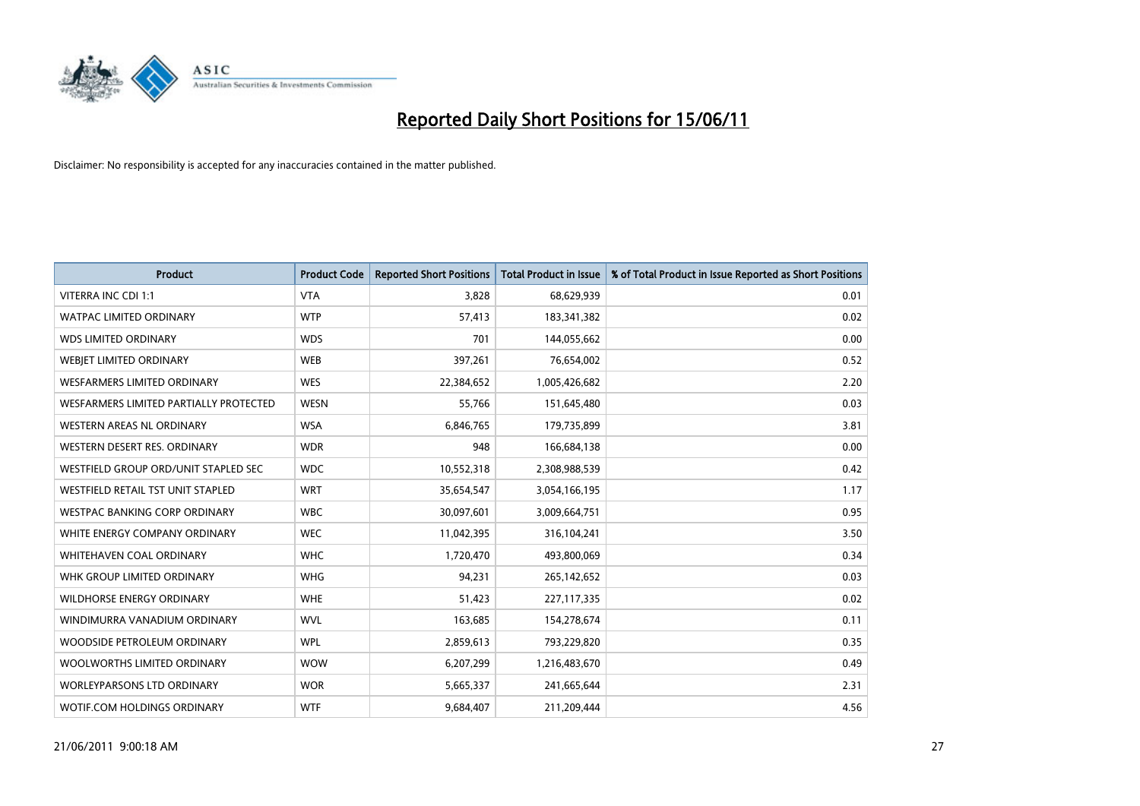

| <b>Product</b>                         | <b>Product Code</b> | <b>Reported Short Positions</b> | <b>Total Product in Issue</b> | % of Total Product in Issue Reported as Short Positions |
|----------------------------------------|---------------------|---------------------------------|-------------------------------|---------------------------------------------------------|
| <b>VITERRA INC CDI 1:1</b>             | <b>VTA</b>          | 3,828                           | 68,629,939                    | 0.01                                                    |
| <b>WATPAC LIMITED ORDINARY</b>         | <b>WTP</b>          | 57,413                          | 183,341,382                   | 0.02                                                    |
| <b>WDS LIMITED ORDINARY</b>            | <b>WDS</b>          | 701                             | 144,055,662                   | 0.00                                                    |
| WEBJET LIMITED ORDINARY                | <b>WEB</b>          | 397,261                         | 76,654,002                    | 0.52                                                    |
| <b>WESFARMERS LIMITED ORDINARY</b>     | <b>WES</b>          | 22,384,652                      | 1,005,426,682                 | 2.20                                                    |
| WESFARMERS LIMITED PARTIALLY PROTECTED | <b>WESN</b>         | 55,766                          | 151,645,480                   | 0.03                                                    |
| WESTERN AREAS NL ORDINARY              | <b>WSA</b>          | 6,846,765                       | 179,735,899                   | 3.81                                                    |
| WESTERN DESERT RES. ORDINARY           | <b>WDR</b>          | 948                             | 166,684,138                   | 0.00                                                    |
| WESTFIELD GROUP ORD/UNIT STAPLED SEC   | <b>WDC</b>          | 10,552,318                      | 2,308,988,539                 | 0.42                                                    |
| WESTFIELD RETAIL TST UNIT STAPLED      | <b>WRT</b>          | 35,654,547                      | 3,054,166,195                 | 1.17                                                    |
| WESTPAC BANKING CORP ORDINARY          | <b>WBC</b>          | 30,097,601                      | 3,009,664,751                 | 0.95                                                    |
| WHITE ENERGY COMPANY ORDINARY          | <b>WEC</b>          | 11,042,395                      | 316,104,241                   | 3.50                                                    |
| WHITEHAVEN COAL ORDINARY               | <b>WHC</b>          | 1,720,470                       | 493,800,069                   | 0.34                                                    |
| WHK GROUP LIMITED ORDINARY             | <b>WHG</b>          | 94,231                          | 265,142,652                   | 0.03                                                    |
| <b>WILDHORSE ENERGY ORDINARY</b>       | <b>WHE</b>          | 51,423                          | 227,117,335                   | 0.02                                                    |
| WINDIMURRA VANADIUM ORDINARY           | <b>WVL</b>          | 163,685                         | 154,278,674                   | 0.11                                                    |
| WOODSIDE PETROLEUM ORDINARY            | <b>WPL</b>          | 2,859,613                       | 793,229,820                   | 0.35                                                    |
| WOOLWORTHS LIMITED ORDINARY            | <b>WOW</b>          | 6,207,299                       | 1,216,483,670                 | 0.49                                                    |
| <b>WORLEYPARSONS LTD ORDINARY</b>      | <b>WOR</b>          | 5,665,337                       | 241,665,644                   | 2.31                                                    |
| WOTIF.COM HOLDINGS ORDINARY            | <b>WTF</b>          | 9,684,407                       | 211,209,444                   | 4.56                                                    |